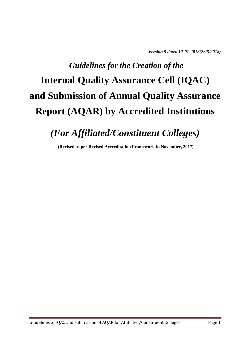*Version 5 dated 12-01-2018(23/5/2018)*

# *Guidelines for the Creation of the* **Internal Quality Assurance Cell (IQAC) and Submission of Annual Quality Assurance Report (AQAR) by Accredited Institutions**

## *(For Affiliated/Constituent Colleges)*

**(Revised as per Revised Accreditation Framework in November, 2017)**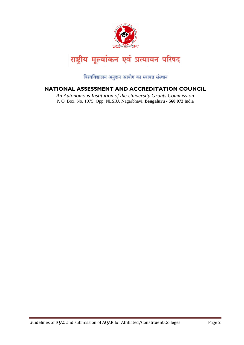

विश्वविद्यालय अनुदान आयोग का स्वायत्त संस्थान

#### **NATIONAL ASSESSMENT AND ACCREDITATION COUNCIL**

*An Autonomous Institution of the University Grants Commission* P. O. Box. No. 1075, Opp: NLSIU, Nagarbhavi, **Bengaluru - 560 072** India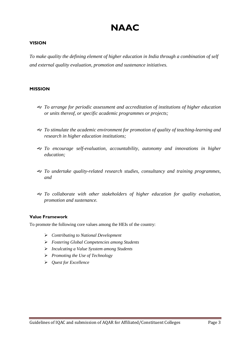### **NAAC**

#### **VISION**

*To make quality the defining element of higher education in India through a combination of self and external quality evaluation, promotion and sustenance initiatives.*

#### **MISSION**

- *To arrange for periodic assessment and accreditation of institutions of higher education or units thereof, or specific academic programmes or projects;*
- *To stimulate the academic environment for promotion of quality of teaching-learning and research in higher education institutions;*
- *To encourage self-evaluation, accountability, autonomy and innovations in higher education;*
- *To undertake quality-related research studies, consultancy and training programmes, and*
- *To collaborate with other stakeholders of higher education for quality evaluation, promotion and sustenance.*

#### **Value Framework**

To promote the following core values among the HEIs of the country:

- *Contributing to National Development*
- *Fostering Global Competencies among Students*
- *Inculcating a Value Sysstem among Students*
- *Promoting the Use of Technology*
- *Quest for Excellence*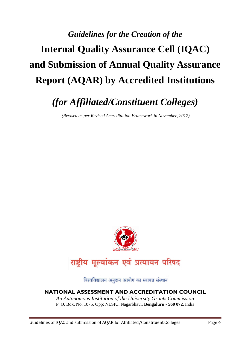# *Guidelines for the Creation of the* **Internal Quality Assurance Cell (IQAC) and Submission of Annual Quality Assurance Report (AQAR) by Accredited Institutions**

### *(for Affiliated/Constituent Colleges)*

*(Revised as per Revised Accreditation Framework in November, 2017)*



### राष्ट्रीय मूल्यांकन एवं प्रत्यायन परिषद

विश्वविद्यालय अनुदान आयोग का स्वायत्त संस्थान

#### **NATIONAL ASSESSMENT AND ACCREDITATION COUNCIL**

*An Autonomous Institution of the University Grants Commission* P. O. Box. No. 1075, Opp: NLSIU, Nagarbhavi, **Bengaluru - 560 072**, India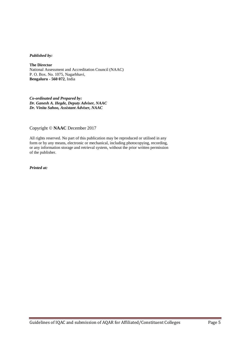#### *Published by:*

**The Director** National Assessment and Accreditation Council (NAAC) P. O. Box. No. 1075, Nagarbhavi, **Bengaluru - 560 072**, India

*Co-ordinated and Prepared by: Dr. Ganesh A. Hegde, Deputy Adviser, NAAC Dr. Vinita Sahoo, Assistant Adviser, NAAC*

Copyright © **NAAC** December 2017

All rights reserved. No part of this publication may be reproduced or utilised in any form or by any means, electronic or mechanical, including photocopying, recording, or any information storage and retrieval system, without the prior written permission of the publisher.

*Printed at:*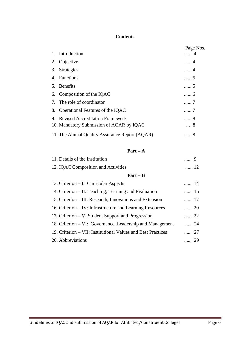#### **Contents**

|                                                | Page Nos. |
|------------------------------------------------|-----------|
| 1. Introduction                                | 4         |
| 2. Objective                                   | 4         |
| 3. Strategies                                  | . 4       |
| 4. Functions                                   | 5         |
| 5. Benefits                                    | 5         |
| 6. Composition of the IQAC                     | 6         |
| 7. The role of coordinator                     | 7         |
| 8. Operational Features of the IQAC            | 7         |
| 9. Revised Accreditation Framework             | . 8       |
| 10. Mandatory Submission of AQAR by IQAC       | . 8       |
| 11. The Annual Quality Assurance Report (AQAR) | 8         |

#### **Part – A**

| 11. Details of the Institution          |    |
|-----------------------------------------|----|
| 12. IQAC Composition and Activities     | 12 |
| $Part - B$                              |    |
| 13. Criterion $-$ I: Curricular Aspects |    |

| 14. Criterion – II: Teaching, Learning and Evaluation        | $\cdots$ 15 |
|--------------------------------------------------------------|-------------|
| 15. Criterion – III: Research, Innovations and Extension     | …… 17       |
| 16. Criterion – IV: Infrastructure and Learning Resources    | 20          |
| 17. Criterion – V: Student Support and Progression           | 22          |
| 18. Criterion – VI: Governance, Leadership and Management    | 24          |
| 19. Criterion – VII: Institutional Values and Best Practices | 27          |
| 20. Abbreviations                                            | $\ldots$ 29 |
|                                                              |             |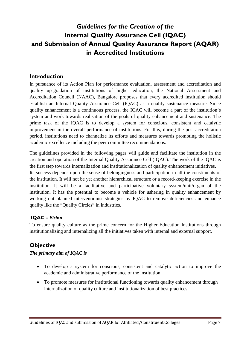### *Guidelines for the Creation of the* **Internal Quality Assurance Cell (IQAC) and Submission of Annual Quality Assurance Report (AQAR) in Accredited Institutions**

#### **Introduction**

In pursuance of its Action Plan for performance evaluation, assessment and accreditation and quality up-gradation of institutions of higher education, the National Assessment and Accreditation Council (NAAC), Bangalore proposes that every accredited institution should establish an Internal Quality Assurance Cell (IQAC) as a quality sustenance measure. Since quality enhancement is a continuous process, the IQAC will become a part of the institution's system and work towards realisation of the goals of quality enhancement and sustenance. The prime task of the IQAC is to develop a system for conscious, consistent and catalytic improvement in the overall performance of institutions. For this, during the post-accreditation period, institutions need to channelize its efforts and measures towards promoting the holistic academic excellence including the peer committee recommendations.

The guidelines provided in the following pages will guide and facilitate the institution in the creation and operation of the Internal Quality Assurance Cell (IQAC). The work of the IQAC is the first step towards internalization and institutionalization of quality enhancement initiatives.

Its success depends upon the sense of belongingness and participation in all the constituents of the institution. It will not be yet another hierarchical structure or a record-keeping exercise in the institution. It will be a facilitative and participative voluntary system/unit/organ of the institution. It has the potential to become a vehicle for ushering in quality enhancement by working out planned interventionist strategies by IQAC to remove deficiencies and enhance quality like the "Quality Circles" in industries.

#### **IQAC –** *Vision*

To ensure quality culture as the prime concern for the Higher Education Institutions through institutionalizing and internalizing all the initiatives taken with internal and external support.

#### **Objective**

#### *The primary aim of IQAC is*

- To develop a system for conscious, consistent and catalytic action to improve the academic and administrative performance of the institution.
- To promote measures for institutional functioning towards quality enhancement through internalization of quality culture and institutionalization of best practices.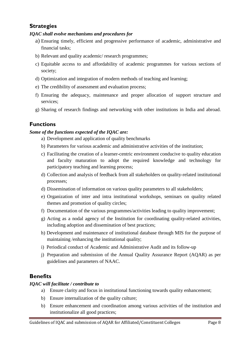#### **Strategies**

#### *IQAC shall evolve mechanisms and procedures for*

- a) Ensuring timely, efficient and progressive performance of academic, administrative and financial tasks;
- b) Relevant and quality academic/ research programmes;
- c) Equitable access to and affordability of academic programmes for various sections of society;
- d) Optimization and integration of modern methods of teaching and learning;
- e) The credibility of assessment and evaluation process;
- f) Ensuring the adequacy, maintenance and proper allocation of support structure and services;
- g) Sharing of research findings and networking with other institutions in India and abroad.

#### **Functions**

#### *Some of the functions expected of the IQAC are:*

- a) Development and application of quality benchmarks
- b) Parameters for various academic and administrative activities of the institution;
- c) Facilitating the creation of a learner-centric environment conducive to quality education and faculty maturation to adopt the required knowledge and technology for participatory teaching and learning process;
- d) Collection and analysis of feedback from all stakeholders on quality-related institutional processes;
- d) Dissemination of information on various quality parameters to all stakeholders;
- e) Organization of inter and intra institutional workshops, seminars on quality related themes and promotion of quality circles;
- f) Documentation of the various programmes/activities leading to quality improvement;
- g) Acting as a nodal agency of the Institution for coordinating quality-related activities, including adoption and dissemination of best practices;
- h) Development and maintenance of institutional database through MIS for the purpose of maintaining /enhancing the institutional quality;
- i) Periodical conduct of Academic and Administrative Audit and its follow-up
- j) Preparation and submission of the Annual Quality Assurance Report (AQAR) as per guidelines and parameters of NAAC.

#### **Benefits**

#### *IQAC will facilitate / contribute to*

- a) Ensure clarity and focus in institutional functioning towards quality enhancement;
- b) Ensure internalization of the quality culture;
- b) Ensure enhancement and coordination among various activities of the institution and institutionalize all good practices;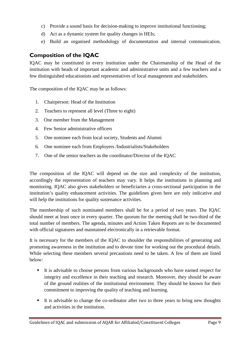- c) Provide a sound basis for decision-making to improve institutional functioning;
- d) Act as a dynamic system for quality changes in HEIs;
- e) Build an organised methodology of documentation and internal communication.

#### **Composition of the IQAC**

IQAC may be constituted in every institution under the Chairmanship of the Head of the institution with heads of important academic and administrative units and a few teachers and a few distinguished educationists and representatives of local management and stakeholders.

The composition of the IQAC may be as follows:

- 1. Chairperson: Head of the Institution
- 2. Teachers to represent all level (Three to eight)
- 3. One member from the Management
- 4. Few Senior administrative officers
- 5. One nominee each from local society, Students and Alumni
- 6. One nominee each from Employers /Industrialists/Stakeholders
- 7. One of the senior teachers as the coordinator/Director of the IQAC

The composition of the IQAC will depend on the size and complexity of the institution, accordingly the representation of teachers may vary. It helps the institutions in planning and monitoring. IQAC also gives stakeholders or beneficiaries a cross-sectional participation in the institution's quality enhancement activities. The guidelines given here are only indicative and will help the institutions for quality sustenance activities.

The membership of such nominated members shall be for a period of two years. The IQAC should meet at least once in every quarter. The quorum for the meeting shall be two-third of the total number of members. The agenda, minutes and Action Taken Reports are to be documented with official signatures and maintained electronically in a retrievable format.

It is necessary for the members of the IQAC to shoulder the responsibilities of generating and promoting awareness in the institution and to devote time for working out the procedural details. While selecting these members several precautions need to be taken. A few of them are listed below:

- It is advisable to choose persons from various backgrounds who have earned respect for integrity and excellence in their teaching and research. Moreover, they should be aware of the ground realities of the institutional environment. They should be known for their commitment to improving the quality of teaching and learning.
- It is advisable to change the co-ordinator after two to three years to bring new thoughts and activities in the institution.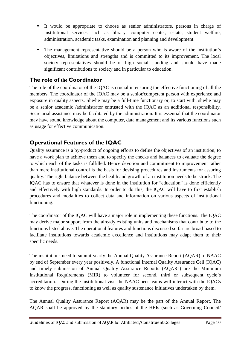- It would be appropriate to choose as senior administrators, persons in charge of institutional services such as library, computer center, estate, student welfare, administration, academic tasks, examination and planning and development.
- The management representative should be a person who is aware of the institution's objectives, limitations and strengths and is committed to its improvement. The local society representatives should be of high social standing and should have made significant contributions to society and in particular to education.

#### **The role of the Coordinator**

The role of the coordinator of the IQAC is crucial in ensuring the effective functioning of all the members. The coordinator of the IQAC may be a senior/competent person with experience and exposure in quality aspects. She/he may be a full-time functionary or, to start with, she/he may be a senior academic /administrator entrusted with the IQAC as an additional responsibility. Secretarial assistance may be facilitated by the administration. It is essential that the coordinator may have sound knowledge about the computer, data management and its various functions such as usage for effective communication.

#### **Operational Features of the IQAC**

Quality assurance is a by-product of ongoing efforts to define the objectives of an institution, to have a work plan to achieve them and to specify the checks and balances to evaluate the degree to which each of the tasks is fulfilled. Hence devotion and commitment to improvement rather than mere institutional control is the basis for devising procedures and instruments for assuring quality. The right balance between the health and growth of an institution needs to be struck. The IQAC has to ensure that whatever is done in the institution for "education" is done efficiently and effectively with high standards. In order to do this, the IQAC will have to first establish procedures and modalities to collect data and information on various aspects of institutional functioning.

The coordinator of the IQAC will have a major role in implementing these functions. The IQAC may derive major support from the already existing units and mechanisms that contribute to the functions listed above. The operational features and functions discussed so far are broad-based to facilitate institutions towards academic excellence and institutions may adapt them to their specific needs.

The institutions need to submit yearly the Annual Quality Assurance Report (AQAR) to NAAC by end of September every year positively. A functional Internal Quality Assurance Cell (IQAC) and timely submission of Annual Quality Assurance Reports (AQARs) are the Minimum Institutional Requirements (MIR) to volunteer for second, third or subsequent cycle's accreditation. During the institutional visit the NAAC peer teams will interact with the IQACs to know the progress, functioning as well as quality sustenance initiatives undertaken by them.

The Annual Quality Assurance Report (AQAR) may be the part of the Annual Report. The AQAR shall be approved by the statutory bodies of the HEIs (such as Governing Council/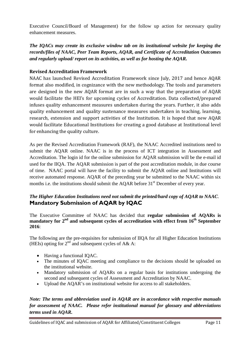Executive Council/Board of Management) for the follow up action for necessary quality enhancement measures.

*The IQACs may create its exclusive window tab on its institutional website for keeping the records/files of NAAC, Peer Team Reports, AQAR, and Certificate of Accreditation Outcomes and regularly upload/ report on its activities, as well as for hosting the AQAR.*

#### **Revised Accreditation Framework**

NAAC has launched Revised Accreditation Framework since July, 2017 and hence AQAR format also modified, in cognizance with the new methodology. The tools and parameters are designed in the new AQAR format are in such a way that the preparation of AQAR would facilitate the HEI's for upcoming cycles of Accreditation. Data collected/prepared infuses quality enhancement measures undertaken during the years. Further, it also adds quality enhancement and quality sustenance measures undertaken in teaching, learning, research, extension and support activities of the Institution. It is hoped that new AQAR would facilitate Educational Institutions for creating a good database at Institutional level for enhancing the quality culture.

As per the Revised Accreditation Framework (RAF), the NAAC Accredited institutions need to submit the AQAR online. NAAC is in the process of ICT integration in Assessment and Accreditation. The login id for the online submission for AQAR submission will be the e-mail id used for the IIQA. The AQAR submission is part of the post accreditation module, in due course of time. NAAC portal will have the facility to submit the AQAR online and Institutions will receive automated response. AQAR of the preceding year be submitted to the NAAC within six months i.e. the institutions should submit the AQAR before 31<sup>st</sup> December of every year.

#### *The Higher Education Institutions need not submit the printed/hard copy of AQAR to NAAC*. **Mandatory Submission of AQAR by IQAC**

The Executive Committee of NAAC has decided that **regular submission of AQARs is mandatory for 2nd and subsequent cycles of accreditation with effect from 16th September 2016**:

The following are the pre-requisites for submission of IIQA for all Higher Education Institutions (HEIs) opting for  $2<sup>nd</sup>$  and subsequent cycles of A& A:

- Having a functional IQAC.
- The minutes of IQAC meeting and compliance to the decisions should be uploaded on the institutional website.
- Mandatory submission of AQARs on a regular basis for institutions undergoing the second and subsequent cycles of Assessment and Accreditation by NAAC.
- Upload the AQAR's on institutional website for access to all stakeholders.

*Note: The terms and abbreviation used in AQAR are in accordance with respective manuals for assessment of NAAC. Please refer institutional manual for glossary and abbreviations terms used in AQAR.*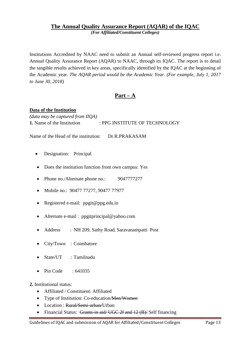#### **The Annual Quality Assurance Report (AQAR) of the IQAC** *(For Affiliated/Constituent Colleges)*

Institutions Accredited by NAAC need to submit an Annual self-reviewed progress report i.e. Annual Quality Assurance Report (AQAR) to NAAC, through its IQAC. The report is to detail the tangible results achieved in key areas, specifically identified by the IQAC at the beginning of the Academic year. *The AQAR period would be the Academic Year. (For example, July 1, 2017 to June 30, 2018)*

#### **Part – A**

#### **Data of the Institution**

*(data may be captured from IIQA)* **1.** Name of the Institution : PPG INSTITUTE OF TECHNOLOGY

Name of the Head of the institution: Dr.R.PRAKASAM

- Designation: Principal
- Does the institution function from own campus: Yes
- Phone no./Alternate phone no.: 9047777277
- Mobile no.: 90477 77277, 90477 77977
- Registered e-mail: ppgit@ppg.edu.in
- Alternate e-mail : ppgitprincipal@yahoo.com
- Address : NH 209, Sathy Road, Saravanampatti Post
- City/Town : Coimbatore
- State/UT : Tamilnadu
- $\bullet$  Pin Code : 641035

#### **2.** Institutional status:

- Affiliated / Constituent: Affiliated
- Type of Institution: Co-education/Men/Women
- Location : Rural/Semi-urban/Urban
- Financial Status: Grants-in aid/ UGC 2f and 12 (B)/ Self financing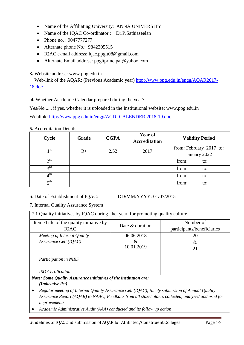- Name of the Affiliating University: ANNA UNIVERSITY
- Name of the IQAC Co-ordinator : Dr.P.Sathiaseelan
- Phone no.: 9047777277
- Alternate phone No.: 9842205515
- IQAC e-mail address: iqac.ppgit08@gmail.com
- Alternate Email address: ppgitprincipal@yahoo.com

#### **3.** Website address: www.ppg.edu.in

Web-link of the AQAR: (Previous Academic year) [http://www.ppg.edu.in/engg/AQAR2017-](http://www.ppg.edu.in/engg/AQAR2017-18.doc) [18.doc](http://www.ppg.edu.in/engg/AQAR2017-18.doc)

**4.** Whether Academic Calendar prepared during the year?

Yes/No....., if yes, whether it is uploaded in the Institutional website: www.ppg.edu.in

Weblink: [http://www.ppg.edu.in/engg/ACD](http://www.ppg.edu.in/engg/AQAR2018-19.doc) -CALENDER 2018-19.doc

#### **5.** Accreditation Details:

| Cycle           | Grade | <b>CGPA</b> | <b>Year of</b><br><b>Accreditation</b> | <b>Validity Period</b>  |
|-----------------|-------|-------------|----------------------------------------|-------------------------|
| 1 <sup>st</sup> | $B+$  | 2.52        | 2017                                   | from: February 2017 to: |
|                 |       |             |                                        | January 2022            |
| $\gamma$ nd     |       |             |                                        | from:<br>to:            |
| $2^{\text{rd}}$ |       |             |                                        | from:<br>to:            |
| $4^{\rm th}$    |       |             |                                        | from:<br>to:            |
| $\tau$ th       |       |             |                                        | from:<br>to:            |

6. Date of Establishment of IQAC: DD/MM/YYYY: 01/07/2015

7**.** Internal Quality Assurance System

| 7.1 Quality initiatives by IQAC during the year for promoting quality culture |                 |                                         |  |  |  |  |  |
|-------------------------------------------------------------------------------|-----------------|-----------------------------------------|--|--|--|--|--|
| Item /Title of the quality initiative by<br><b>IQAC</b>                       | Date & duration | Number of<br>participants/beneficiaries |  |  |  |  |  |
|                                                                               |                 |                                         |  |  |  |  |  |
| Meeting of Internal Quality                                                   | 06.06.2018      | 20                                      |  |  |  |  |  |
| Assurance Cell (IQAC)                                                         | &               | &                                       |  |  |  |  |  |
|                                                                               | 10.01.2019      | 21                                      |  |  |  |  |  |
| <b>Participation in NIRF</b>                                                  |                 |                                         |  |  |  |  |  |
| <b>ISO</b> Certification                                                      |                 |                                         |  |  |  |  |  |

*Note: Some Quality Assurance initiatives of the institution are: (Indicative list)*

- *Regular meeting of Internal Quality Assurance Cell (IQAC); timely submission of Annual Quality Assurance Report (AQAR) to NAAC; Feedback from all stakeholders collected, analysed and used for improvements*
- *Academic Administrative Audit (AAA) conducted and its follow up action*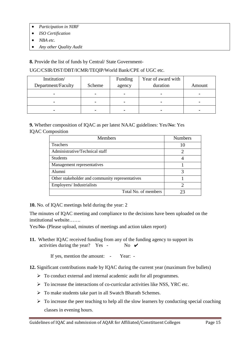- *Participation in NIRF*
- *ISO Certification*
- *NBA etc.*
- *Any other Quality Audit*

**8.** Provide the list of funds by Central/ State Government-

#### UGC/CSIR/DST/DBT/ICMR/TEQIP/World Bank/CPE of UGC etc.

| Institution/       |                | Funding        | Year of award with |                |
|--------------------|----------------|----------------|--------------------|----------------|
| Department/Faculty | Scheme         | agency         | duration           | Amount         |
| $\blacksquare$     |                | $\blacksquare$ |                    | $\blacksquare$ |
| $\blacksquare$     | $\blacksquare$ | $\blacksquare$ | -                  | $\blacksquare$ |
| $\blacksquare$     |                |                |                    | $\blacksquare$ |

**9.** Whether composition of IQAC as per latest NAAC guidelines: Yes/No: Yes IQAC Composition

| <b>Members</b>                                  | <b>Numbers</b> |
|-------------------------------------------------|----------------|
| Teachers                                        | 10             |
| Administrative/Technical staff                  | っ              |
| <b>Students</b>                                 |                |
| Management representatives                      |                |
| Alumni                                          | 3              |
| Other stakeholder and community representatives |                |
| Employers/Industrialists                        |                |
| Total No. of members                            | フマ             |

**10.** No. of IQAC meetings held during the year: 2

The minutes of IQAC meeting and compliance to the decisions have been uploaded on the institutional website…….

Yes/No (Please upload, minutes of meetings and action taken report)

**11.** Whether IQAC received funding from any of the funding agency to support its activities during the year? Yes - No  $\vee$ 

If yes, mention the amount: - Year: -

- **12.** Significant contributions made by IQAC during the current year (maximum five bullets)
	- $\triangleright$  To conduct external and internal academic audit for all programmes.
	- $\triangleright$  To increase the interactions of co-curricular activities like NSS, YRC etc.
	- $\triangleright$  To make students take part in all Swatch Bharath Schemes.
	- $\triangleright$  To increase the peer teaching to help all the slow learners by conducting special coaching classes in evening hours.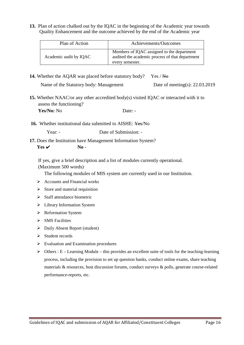**13.** Plan of action chalked out by the IQAC in the beginning of the Academic year towards Quality Enhancement and the outcome achieved by the end of the Academic year

| Plan of Action         | Achievements/Outcomes                                                                                            |
|------------------------|------------------------------------------------------------------------------------------------------------------|
| Academic audit by IQAC | Members of IQAC assigned to the department<br>audited the academic process of that department<br>every semester. |

**14.** Whether the AQAR was placed before statutory body? Yes / No Name of the Statutory body: Management Date of meeting(s): 22.03.2019

**15.** Whether NAAC/or any other accredited body(s) visited IQAC or interacted with it to assess the functioning?

Yes/No: No Date: -

**16.** Whether institutional data submitted to AISHE: Yes/No

Year: - Date of Submission: -

**17.** Does the Institution have Management Information System?  $Yes \n\checkmark$  **No** -

If yes, give a brief description and a list of modules currently operational. (Maximum 500 words)

The following modules of MIS system are currently used in our Institution.

- $\triangleright$  Accounts and Financial works
- $\triangleright$  Store and material requisition
- $\triangleright$  Staff attendance biometric
- $\triangleright$  Library Information System
- **EXECUTE:** Reformation System
- $\triangleright$  SMS Facilities
- Daily Absent Report (student)
- $\triangleright$  Student records
- $\triangleright$  Evaluation and Examination procedures
- $\triangleright$  Others : E Learning Module this provides an excellent suite of tools for the teaching-learning process, including the provision to set up question banks, conduct online exams, share teaching materials & resources, host discussion forums, conduct surveys & polls, generate course-related performance-reports, etc.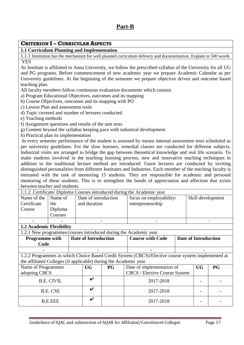| 1.1 Curriculum Planning and Implementation                                                    |                   |  | <b>CRITERION I - CURRICULAR ASPECTS</b> |                                                                                                                                                                                                                  |                                                                                                                  |  |                             |    |  |  |  |
|-----------------------------------------------------------------------------------------------|-------------------|--|-----------------------------------------|------------------------------------------------------------------------------------------------------------------------------------------------------------------------------------------------------------------|------------------------------------------------------------------------------------------------------------------|--|-----------------------------|----|--|--|--|
|                                                                                               |                   |  |                                         |                                                                                                                                                                                                                  |                                                                                                                  |  |                             |    |  |  |  |
|                                                                                               |                   |  |                                         |                                                                                                                                                                                                                  | 1.1.1 Institution has the mechanism for well planned curriculum delivery and documentation. Explain in 500 words |  |                             |    |  |  |  |
| <b>YES</b>                                                                                    |                   |  |                                         |                                                                                                                                                                                                                  |                                                                                                                  |  |                             |    |  |  |  |
|                                                                                               |                   |  |                                         |                                                                                                                                                                                                                  | As Institute is affiliated to Anna University, we follow the prescribed syllabus of the University for all UG    |  |                             |    |  |  |  |
| and PG programs. Before commencement of new academic year we prepare Academic Calendar as per |                   |  |                                         |                                                                                                                                                                                                                  |                                                                                                                  |  |                             |    |  |  |  |
|                                                                                               |                   |  |                                         |                                                                                                                                                                                                                  | University guidelines. At the beginning of the semester we prepare objective driven and outcome based            |  |                             |    |  |  |  |
| teaching plan.                                                                                |                   |  |                                         |                                                                                                                                                                                                                  |                                                                                                                  |  |                             |    |  |  |  |
| All faculty members follow continuous evaluation documents which contain                      |                   |  |                                         |                                                                                                                                                                                                                  |                                                                                                                  |  |                             |    |  |  |  |
| a) Program Educational Objectives, outcomes and its mapping                                   |                   |  |                                         |                                                                                                                                                                                                                  |                                                                                                                  |  |                             |    |  |  |  |
| b) Course Objectives, outcomes and its mapping with PO                                        |                   |  |                                         |                                                                                                                                                                                                                  |                                                                                                                  |  |                             |    |  |  |  |
| c) Lesson Plan and assessment tools                                                           |                   |  |                                         |                                                                                                                                                                                                                  |                                                                                                                  |  |                             |    |  |  |  |
| d) Topic covered and number of lectures conducted                                             |                   |  |                                         |                                                                                                                                                                                                                  |                                                                                                                  |  |                             |    |  |  |  |
| e) Teaching methods                                                                           |                   |  |                                         |                                                                                                                                                                                                                  |                                                                                                                  |  |                             |    |  |  |  |
| f) Assignment questions and results of the unit tests                                         |                   |  |                                         |                                                                                                                                                                                                                  |                                                                                                                  |  |                             |    |  |  |  |
|                                                                                               |                   |  |                                         |                                                                                                                                                                                                                  | g) Content beyond the syllabus keeping pace with industrial development                                          |  |                             |    |  |  |  |
| h) Practical plan its implementation                                                          |                   |  |                                         |                                                                                                                                                                                                                  |                                                                                                                  |  |                             |    |  |  |  |
|                                                                                               |                   |  |                                         |                                                                                                                                                                                                                  | In every semester performance of the student is assessed by means internal assessment tests scheduled as         |  |                             |    |  |  |  |
|                                                                                               |                   |  |                                         |                                                                                                                                                                                                                  | per university guidelines. For the slow learners, remedial classes are conducted for different subjects.         |  |                             |    |  |  |  |
|                                                                                               |                   |  |                                         |                                                                                                                                                                                                                  | Industrial visits are arranged to bridge the gap between theoretical knowledge and real life scenario. To        |  |                             |    |  |  |  |
|                                                                                               |                   |  |                                         |                                                                                                                                                                                                                  | make students involved in the teaching learning process, new and innovative teaching techniques in               |  |                             |    |  |  |  |
|                                                                                               |                   |  |                                         |                                                                                                                                                                                                                  | addition to the traditional lecture method are introduced. Guest lectures are conducted by inviting              |  |                             |    |  |  |  |
|                                                                                               |                   |  |                                         |                                                                                                                                                                                                                  |                                                                                                                  |  |                             |    |  |  |  |
|                                                                                               |                   |  |                                         | distinguished personalities from different Institutes and Industries. Each member of the teaching faculty is<br>entrusted with the task of mentoring 15 students. They are responsible for academic and personal |                                                                                                                  |  |                             |    |  |  |  |
|                                                                                               |                   |  |                                         |                                                                                                                                                                                                                  |                                                                                                                  |  |                             |    |  |  |  |
|                                                                                               |                   |  |                                         |                                                                                                                                                                                                                  |                                                                                                                  |  |                             |    |  |  |  |
|                                                                                               |                   |  |                                         |                                                                                                                                                                                                                  | mentoring of these students. This is to strengthen the bonds of appreciation and affection that exists           |  |                             |    |  |  |  |
| between teacher and students.                                                                 |                   |  |                                         |                                                                                                                                                                                                                  |                                                                                                                  |  |                             |    |  |  |  |
|                                                                                               |                   |  |                                         |                                                                                                                                                                                                                  | 1.1.2 Certificate/Diploma Courses introduced during the Academic year                                            |  |                             |    |  |  |  |
| Name of the                                                                                   | Name of           |  | Date of introduction                    |                                                                                                                                                                                                                  | focus on employability/                                                                                          |  | Skill development           |    |  |  |  |
| Certificate                                                                                   | the               |  | and duration                            |                                                                                                                                                                                                                  | entrepreneurship                                                                                                 |  |                             |    |  |  |  |
| Course                                                                                        | Diploma           |  |                                         |                                                                                                                                                                                                                  |                                                                                                                  |  |                             |    |  |  |  |
|                                                                                               | Courses           |  |                                         |                                                                                                                                                                                                                  |                                                                                                                  |  |                             |    |  |  |  |
|                                                                                               |                   |  |                                         |                                                                                                                                                                                                                  |                                                                                                                  |  |                             |    |  |  |  |
| <b>1.2 Academic Flexibility</b>                                                               |                   |  |                                         |                                                                                                                                                                                                                  |                                                                                                                  |  |                             |    |  |  |  |
|                                                                                               |                   |  |                                         |                                                                                                                                                                                                                  | 1.2.1 New programmes/courses introduced during the Academic year                                                 |  |                             |    |  |  |  |
| Programme with                                                                                |                   |  | <b>Date of Introduction</b>             |                                                                                                                                                                                                                  | <b>Course with Code</b>                                                                                          |  | <b>Date of Introduction</b> |    |  |  |  |
| Code                                                                                          |                   |  |                                         |                                                                                                                                                                                                                  |                                                                                                                  |  |                             |    |  |  |  |
|                                                                                               |                   |  |                                         |                                                                                                                                                                                                                  |                                                                                                                  |  |                             |    |  |  |  |
|                                                                                               |                   |  |                                         |                                                                                                                                                                                                                  | 1.2.2 Programmes in which Choice Based Credit System (CBCS)/Elective course system implemented at                |  |                             |    |  |  |  |
| the affiliated Colleges (if applicable) during the Academic year.                             |                   |  |                                         |                                                                                                                                                                                                                  |                                                                                                                  |  |                             |    |  |  |  |
| Name of Programmes                                                                            |                   |  | <b>UG</b>                               | P G                                                                                                                                                                                                              | Date of implementation of                                                                                        |  | <b>UG</b>                   | PG |  |  |  |
| adopting CBCS                                                                                 |                   |  |                                         |                                                                                                                                                                                                                  | <b>CBCS</b> / Elective Course System                                                                             |  |                             |    |  |  |  |
|                                                                                               | <b>B.E. CIVIL</b> |  | $\checkmark$                            |                                                                                                                                                                                                                  | 2017-2018                                                                                                        |  |                             |    |  |  |  |
|                                                                                               |                   |  |                                         |                                                                                                                                                                                                                  |                                                                                                                  |  |                             |    |  |  |  |
|                                                                                               | <b>B.E. CSE</b>   |  | V                                       |                                                                                                                                                                                                                  | 2017-2018                                                                                                        |  |                             |    |  |  |  |
|                                                                                               | <b>B.E.EEE</b>    |  | V                                       |                                                                                                                                                                                                                  | 2017-2018                                                                                                        |  |                             |    |  |  |  |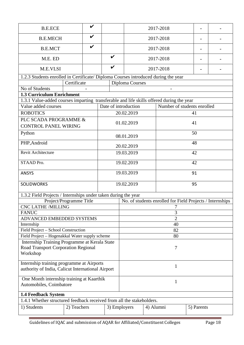| <b>B.E.ECE</b>                                                                           |                         | V            |                    |                      |           | 2017-2018                                                 |            |  |
|------------------------------------------------------------------------------------------|-------------------------|--------------|--------------------|----------------------|-----------|-----------------------------------------------------------|------------|--|
| <b>B.E.MECH</b>                                                                          |                         | $\checkmark$ |                    |                      |           | 2017-2018                                                 |            |  |
| <b>B.E.MCT</b>                                                                           |                         | V            |                    |                      |           | 2017-2018                                                 |            |  |
| M.E. ED                                                                                  |                         |              | $\boldsymbol{\nu}$ |                      |           | 2017-2018                                                 |            |  |
| M.E.VLSI                                                                                 |                         |              | $\boldsymbol{\nu}$ |                      |           | 2017-2018                                                 |            |  |
| 1.2.3 Students enrolled in Certificate/ Diploma Courses introduced during the year       |                         |              |                    |                      |           |                                                           |            |  |
|                                                                                          | Certificate             |              |                    | Diploma Courses      |           |                                                           |            |  |
| No of Students                                                                           |                         |              |                    |                      |           |                                                           |            |  |
| <b>1.3 Curriculum Enrichment</b>                                                         |                         |              |                    |                      |           |                                                           |            |  |
| 1.3.1 Value-added courses imparting transferable and life skills offered during the year |                         |              |                    |                      |           |                                                           |            |  |
| Value added courses                                                                      |                         |              |                    | Date of introduction |           | Number of students enrolled                               |            |  |
| <b>ROBOTICS</b>                                                                          |                         |              |                    | 20.02.2019           |           |                                                           | 41         |  |
| PLC SCADA PROGRAMME &                                                                    |                         |              |                    |                      |           |                                                           |            |  |
| <b>CONTROL PANEL WIRING</b>                                                              |                         |              |                    | 01.02.2019           |           |                                                           | 41         |  |
| Python                                                                                   |                         |              |                    | 08.01.2019           |           |                                                           | 50         |  |
| PHP, Android                                                                             |                         |              |                    | 20.02.2019           |           |                                                           | 48         |  |
| Revit Architecture                                                                       |                         |              |                    | 19.03.2019           |           |                                                           | 42         |  |
| STAAD Pro.                                                                               |                         |              |                    | 19.02.2019           |           | 42                                                        |            |  |
| <b>ANSYS</b>                                                                             |                         |              |                    | 19.03.2019           | 91        |                                                           |            |  |
| <b>SOLIDWORKS</b>                                                                        |                         |              |                    | 19.02.2019           |           |                                                           | 95         |  |
| 1.3.2 Field Projects / Internships under taken during the year                           |                         |              |                    |                      |           |                                                           |            |  |
|                                                                                          | Project/Programme Title |              |                    |                      |           | No. of students enrolled for Field Projects / Internships |            |  |
| <b>CNC LATHE /MILLING</b>                                                                |                         |              |                    |                      |           | 7                                                         |            |  |
| <b>FANUC</b>                                                                             |                         |              |                    |                      |           | 3                                                         |            |  |
| ADVANCED EMBEDDED SYSTEMS                                                                |                         |              |                    |                      |           | $\overline{2}$                                            |            |  |
| Internship                                                                               |                         |              |                    | 40                   |           |                                                           |            |  |
| Field Project – School Construction                                                      |                         |              |                    | 82                   |           |                                                           |            |  |
| Field Project - Hogenakkal Water supply scheme                                           |                         |              |                    | 80                   |           |                                                           |            |  |
| Internship Training Programme at Kerala State                                            |                         |              |                    |                      |           |                                                           |            |  |
| Road Transport Corporation Regional                                                      |                         |              |                    |                      |           | 7                                                         |            |  |
| Workshop                                                                                 |                         |              |                    |                      |           |                                                           |            |  |
| Internship training programme at Airports                                                |                         |              |                    |                      |           |                                                           |            |  |
| authority of India, Calicut International Airport                                        |                         |              |                    |                      |           | 1                                                         |            |  |
|                                                                                          |                         |              |                    |                      |           |                                                           |            |  |
| One Month internship training at Kaarthik<br>Automobiles, Coimbatore                     |                         |              |                    |                      |           | 1                                                         |            |  |
| 1.4 Feedback System                                                                      |                         |              |                    |                      |           |                                                           |            |  |
| 1.4.1 Whether structured feedback received from all the stakeholders.                    |                         |              |                    |                      |           |                                                           |            |  |
| 1) Students                                                                              | 2) Teachers             |              |                    | 3) Employers         | 4) Alumni |                                                           | 5) Parents |  |
|                                                                                          |                         |              |                    |                      |           |                                                           |            |  |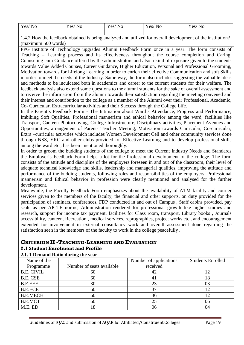| Yes/<br>$\mathbf{N}\mathbf{O}$ | $ -$<br>$V \alpha c$<br>$Y$ es/ $H\Theta$ | $Y$ es/ $H\Theta$ | $\mathbf{r}$<br>Yes/<br>N <sub>0</sub><br>$\bf{H}$<br>$\sim$ | $N_{\Omega}$<br>$\alpha$<br>$\bf{H}$<br>$\sim$ $\sim$ $\sim$ $\prime$ |
|--------------------------------|-------------------------------------------|-------------------|--------------------------------------------------------------|-----------------------------------------------------------------------|
|                                |                                           |                   |                                                              |                                                                       |

1.4.2 How the feedback obtained is being analyzed and utilized for overall development of the institution? (maximum 500 words)

PPG Institute of Technology upgrades Alumni Feedback Form once in a year. The form consists of Teaching – Learning process and its effectiveness throughout the course completion and Caring, Counseling cum Guidance offered by the administrators and also a kind of exposure given to the students towards Value Added Courses, Career Guidance, Higher Education, Personal and Professional Grooming, Motivation towards for Lifelong Learning in order to enrich their effective Communication and soft Skills in order to meet the needs of the Industry. Same way, the form also includes suggesting the valuable ideas and methods to be inculcated both in academics and career to the current students for their welfare. The feedback analysis also extend some questions to the alumni students for the sake of overall assessment and to receive the information from the alumni towards their satisfaction regarding the meeting convened and their interest and contribution to the college as a member of the Alumni over their Professional, Academic, Co- Curricular, Extracurricular activities and their Success through the College Life.

In the Parent's Feedback Form - The Intimation about Ward's Attendance, Progress and Performance, Imbibing Soft Qualities, Professional mannerism and ethical behavior among the ward, facilities like Transport, Canteen Photocopying, College Infrastructure, Disciplinary activities, Placement Avenues and Opportunities, arrangement of Parent- Teacher Meeting, Motivation towards Curricular, Co-curricular, Extra –curricular activities which includes Women Development Cell and other community services done through NSS, YRC and other clubs provided for Effective Learning and to develop professional skills among the ward etc., has been mentioned thoroughly.

In order to groom the budding students of the college to meet the Current Industry Needs and Standards the Employer's Feedback Form helps a lot for the Professional development of the college. The form consists of the attitude and discipline of the employers foreseen in and out of the classroom, their level of adequate technical knowledge and skills, leadership and managerial qualities, improving the attitude and performance of the budding students, following roles and responsibilities of the employers, Professional mannerism and Ethical behavior in profession were clearly mentioned and analysed for the further development.

Meanwhile, the Faculty Feedback Form emphasizes about the availability of ATM facility and courier services given to the members of the faculty, the financial and other supports, on duty provided for the participation of seminars, conferences, FDP conducted in and out of Campus , Staff cabins provided, pay scale as per AICTE norms, Administration rendered for professional growth like higher studies and research, support for income tax payment, facilities for Class room, transport, Library books , Journals accessibility, canteen, Recreation , medical services, reprographies, project works etc., and encouragement extended for involvement in external consultancy work and overall assessment done regarding the satisfaction seen in the members of the faculty to work in the college peacefully .

#### **CRITERION II -TEACHING-LEARNING AND EVALUATION**

#### **2.1 Student Enrolment and Profile**

| 2.1.1 Demand Ratio during the year |                           |                        |                          |  |  |  |  |  |
|------------------------------------|---------------------------|------------------------|--------------------------|--|--|--|--|--|
| Name of the                        |                           | Number of applications | <b>Students Enrolled</b> |  |  |  |  |  |
| Programme                          | Number of seats available | received               |                          |  |  |  |  |  |
| <b>B.E. CIVIL</b>                  | 60                        | 42                     | 12                       |  |  |  |  |  |
| B.E. CSE                           | 60                        | 41                     | 18                       |  |  |  |  |  |
| <b>B.E.EEE</b>                     | 30                        | 23                     | 03                       |  |  |  |  |  |
| <b>B.E.ECE</b>                     | 60                        | 37                     | 12                       |  |  |  |  |  |
| <b>B.E.MECH</b>                    | 60                        | 36                     | 12                       |  |  |  |  |  |
| <b>B.E.MCT</b>                     | 60                        | 25                     | 06                       |  |  |  |  |  |
| M.E. ED                            | 18                        | 06                     | 04                       |  |  |  |  |  |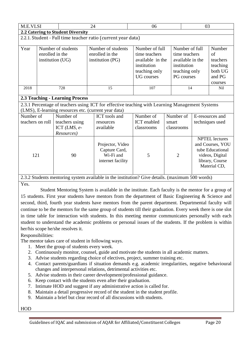| M.E.VLSI                                                     |                                                           |                                   | 24                                                                                             | 06                                                                                                       |                |                                                                                                   |                 | 03                                                                                                                  |  |  |
|--------------------------------------------------------------|-----------------------------------------------------------|-----------------------------------|------------------------------------------------------------------------------------------------|----------------------------------------------------------------------------------------------------------|----------------|---------------------------------------------------------------------------------------------------|-----------------|---------------------------------------------------------------------------------------------------------------------|--|--|
|                                                              |                                                           | 2.2 Catering to Student Diversity |                                                                                                |                                                                                                          |                |                                                                                                   |                 |                                                                                                                     |  |  |
| 2.2.1. Student - Full time teacher ratio (current year data) |                                                           |                                   |                                                                                                |                                                                                                          |                |                                                                                                   |                 |                                                                                                                     |  |  |
| Year                                                         | Number of students<br>enrolled in the<br>institution (UG) |                                   | Number of students<br>enrolled in the<br>institution (PG)                                      | Number of full<br>time teachers<br>available in the<br>institution<br>teaching only<br><b>UG</b> courses |                | Number of full<br>time teachers<br>available in the<br>institution<br>teaching only<br>PG courses |                 | Number<br>of<br>teachers<br>teaching<br>both UG<br>and PG<br>courses                                                |  |  |
| 2018                                                         | 728                                                       |                                   | 15                                                                                             | 107                                                                                                      |                | 14                                                                                                |                 | Nil                                                                                                                 |  |  |
| <b>2.3 Teaching - Learning Process</b>                       |                                                           |                                   |                                                                                                |                                                                                                          |                |                                                                                                   |                 |                                                                                                                     |  |  |
|                                                              |                                                           |                                   | 2.3.1 Percentage of teachers using ICT for effective teaching with Learning Management Systems |                                                                                                          |                |                                                                                                   |                 |                                                                                                                     |  |  |
|                                                              |                                                           |                                   | (LMS), E-learning resources etc. (current year data)                                           |                                                                                                          |                |                                                                                                   |                 |                                                                                                                     |  |  |
| Number of                                                    |                                                           | Number of                         | ICT tools and                                                                                  | Number of                                                                                                | Number of      |                                                                                                   | E-resources and |                                                                                                                     |  |  |
| teachers on roll                                             |                                                           | teachers using                    | resources                                                                                      | <b>ICT</b> enabled                                                                                       | smart          |                                                                                                   | techniques used |                                                                                                                     |  |  |
|                                                              |                                                           | ICT $(LMS, e$ -                   | available                                                                                      | classrooms                                                                                               | classrooms     |                                                                                                   |                 |                                                                                                                     |  |  |
|                                                              |                                                           | Resources)                        |                                                                                                |                                                                                                          |                |                                                                                                   |                 |                                                                                                                     |  |  |
| 121                                                          |                                                           | 90                                | Projector, Video<br>Capture Card,<br>Wi-Fi and<br>internet facility                            | 5                                                                                                        | $\overline{2}$ |                                                                                                   |                 | <b>NPTEL</b> lectures<br>and Courses, YOU<br>tube Educational<br>videos, Digital<br>library, Course<br>Material CD, |  |  |
|                                                              |                                                           |                                   | 223 Crudante mantening evetem evailable in the institution? Cive details (maximum 500 words)   |                                                                                                          |                |                                                                                                   |                 |                                                                                                                     |  |  |

#### 2.3.2 Students mentoring system available in the institution? Give details. (maximum 500 words) Yes.

Student Mentoring System is available in the institute. Each faculty is the mentor for a group of 15 students. First year students have mentors from the department of Basic Engineering & Science and second, third, fourth year students have mentors from the parent department. Departmental faculty will continue to be the mentors for the same group of students till their graduation. Every week there is one slot in time table for interaction with students. In this meeting mentor communicates personally with each student to understand the academic problems or personal issues of the students. If the problem is within her/his scope he/she resolves it.

Responsibilities:

The mentor takes care of student in following ways.

- 1. Meet the group of students every week.
- 2. Continuously monitor, counsel, guide and motivate the students in all academic matters.
- 3. Advise students regarding choice of electives, project, summer training etc.
- 4. Contact parents/guardians if situation demands e.g. academic irregularities, negative behavioural changes and interpersonal relations, detrimental activities etc.
- 5. Advise students in their career development/professional guidance.
- 6. Keep contact with the students even after their graduation.
- 7. Intimate HOD and suggest if any administrative action is called for.
- 8. Maintain a detail progressive record of the student in the student profile.
- 9. Maintain a brief but clear record of all discussions with students.

HOD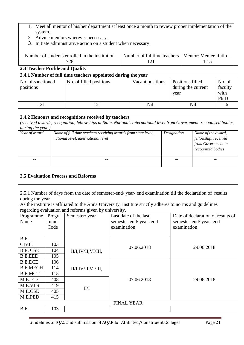- 1. Meet all mentor of his/her department at least once a month to review proper implementation of the system.
- 2. Advice mentors wherever necessary.
- 3. Initiate administrative action on a student when necessary.

|                                                              | Number of students enrolled in the institution | Number of fulltime teachers |      | <b>Mentor: Mentee Ratio</b>            |                                   |  |  |  |  |
|--------------------------------------------------------------|------------------------------------------------|-----------------------------|------|----------------------------------------|-----------------------------------|--|--|--|--|
|                                                              | 728                                            | 121                         | 1:15 |                                        |                                   |  |  |  |  |
| <b>2.4 Teacher Profile and Quality</b>                       |                                                |                             |      |                                        |                                   |  |  |  |  |
| 2.4.1 Number of full time teachers appointed during the year |                                                |                             |      |                                        |                                   |  |  |  |  |
| No. of sanctioned<br>positions                               | No. of filled positions                        | Vacant positions            | year | Positions filled<br>during the current | No. of<br>faculty<br>with<br>Ph.D |  |  |  |  |
| 121                                                          | 121                                            | <b>Nil</b>                  |      | Nil                                    | 6                                 |  |  |  |  |
|                                                              |                                                |                             |      |                                        |                                   |  |  |  |  |

#### **2.4.2 Honours and recognitions received by teachers**

*(received awards, recognition, fellowships at State, National, International level from Government, recognised bodies during the year )*

| Year of award | Name of full time teachers receiving awards from state level,<br>national level, international level | Designation | Name of the award,<br>fellowship, received<br>from Government or<br>recognized bodies |
|---------------|------------------------------------------------------------------------------------------------------|-------------|---------------------------------------------------------------------------------------|
| $- -$         |                                                                                                      |             |                                                                                       |

#### **2.5 Evaluation Process and Reforms**

2.5.1 Number of days from the date of semester-end/ year- end examination till the declaration of results during the year

As the institute is affiliated to the Anna University, Institute strictly adheres to norms and guidelines regarding evaluation and reforms given by university.

| ັ<br>$\tilde{\phantom{a}}$<br>Programme<br>Name | Progra<br>mme<br>Code | Semester/year      | Last date of the last<br>semester-end/year-end<br>examination | Date of declaration of results of<br>semester-end/year-end<br>examination |  |  |
|-------------------------------------------------|-----------------------|--------------------|---------------------------------------------------------------|---------------------------------------------------------------------------|--|--|
| B.E.                                            |                       |                    |                                                               |                                                                           |  |  |
| <b>CIVIL</b>                                    | 103                   |                    | 07.06.2018                                                    | 29.06.2018                                                                |  |  |
| <b>B.E. CSE</b>                                 | 104                   | II/I,IV/II,VI/III, |                                                               |                                                                           |  |  |
| <b>B.E.EEE</b>                                  | 105                   |                    |                                                               |                                                                           |  |  |
| <b>B.E.ECE</b>                                  | 106                   |                    |                                                               |                                                                           |  |  |
| <b>B.E.MECH</b>                                 | 114                   | II/I,IV/II,VI/III, |                                                               |                                                                           |  |  |
| <b>B.E.MCT</b>                                  | 115                   |                    |                                                               |                                                                           |  |  |
| M.E. ED                                         | 408                   |                    | 07.06.2018                                                    | 29.06.2018                                                                |  |  |
| M.E.VLSI                                        | 419                   | II/I               |                                                               |                                                                           |  |  |
| M.E.CSE                                         | 405                   |                    |                                                               |                                                                           |  |  |
| M.E.PED                                         | 415                   |                    |                                                               |                                                                           |  |  |
|                                                 |                       |                    | <b>FINAL YEAR</b>                                             |                                                                           |  |  |
| B.E.                                            | 103                   |                    |                                                               |                                                                           |  |  |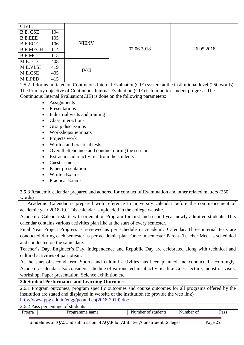| <b>CIVIL</b>    |     |                |            |            |
|-----------------|-----|----------------|------------|------------|
| <b>B.E. CSE</b> | 104 |                |            |            |
| <b>B.E.EEE</b>  | 105 |                |            |            |
| <b>B.E.ECE</b>  | 106 | <b>VIII/IV</b> |            |            |
| <b>B.E.MECH</b> | 114 |                | 07.06.2018 | 26.05.2018 |
| <b>B.E.MCT</b>  | 115 |                |            |            |
| M.E. ED         | 408 |                |            |            |
| M.E.VLSI        | 419 | IV/II          |            |            |
| M.E.CSE         | 405 |                |            |            |
| M.E.PED         | 415 |                |            |            |

2.5.2 Reforms initiated on Continuous Internal Evaluation(CIE) system at the institutional level (250 words) The Primary objective of Continuous Internal Evaluation (CIE) is to monitor student progress. The Continuous Internal Evaluation(CIE) is done on the following parameters:

- Assignments
- Presentations
- Industrial visits and training
- Class interactions
- Group discussions
- Workshops/Seminars
- Projects work
- Written and practical tests
- Overall attendance and conduct during the session
- Extracurricular activities from the students
- Guest lectures
- Paper presentation
- Written Exams
- Practical Exams

**2.5.3 A**cademic calendar prepared and adhered for conduct of Examination and other related matters (250 words)

Academic Calendar is prepared with reference to university calendar before the commencement of academic year 2018-19. This calendar is uploaded in the college website.

Academic Calendar starts with orientation Program for first and second year newly admitted students. This calendar contains various activities plan like at the start of every semester.

Final Year Project Progress is reviewed as per schedule in Academic Calendar. Three internal tests are conducted during each semester as per academic plan. Once in semester Parent- Teacher Meet is scheduled and conducted on the same date.

Teacher's Day, Engineer's Day, Independence and Republic Day are celebrated along with technical and cultural activities of patriotism.

At the start of second term Sports and cultural activities has been planned and conducted accordingly. Academic calendar also considers schedule of various technical activities like Guest lecture, industrial visits, workshop, Paper presentation, Science exhibition etc.

#### **2.6 Student Performance and Learning Outcomes**

| 2.6.1 Program outcomes, program specific outcomes and course outcomes for all programs offered by the |
|-------------------------------------------------------------------------------------------------------|
| institution are stated and displayed in website of the institution (to provide the web link)          |
| http://www.ppg.edu.in/engg/po and $co(2018-2019)$ .doc                                                |
|                                                                                                       |

| students<br>nercentage.<br>Poor<br>ОĪ<br>as:<br>- - |                    |                                |                    |      |  |  |  |  |  |
|-----------------------------------------------------|--------------------|--------------------------------|--------------------|------|--|--|--|--|--|
| 'rogra<br>,,,                                       | name<br>.nme<br>70 | students<br>ımber<br>O1<br>`N. | Number<br>$\Omega$ | Pass |  |  |  |  |  |
|                                                     |                    |                                |                    |      |  |  |  |  |  |

Guidelines of IQAC and submission of AQAR for Affiliated/Constituent Colleges Page 22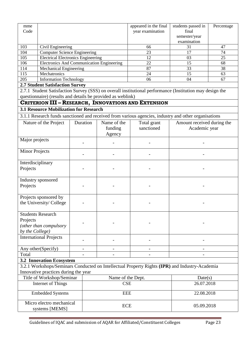| mme<br>Code                                                                       |                                        |                                                  |                                                             | appeared in the final<br>year examination                                                                | students passed in<br>final<br>semester/year<br>examination | Percentage |
|-----------------------------------------------------------------------------------|----------------------------------------|--------------------------------------------------|-------------------------------------------------------------|----------------------------------------------------------------------------------------------------------|-------------------------------------------------------------|------------|
| 103                                                                               | Civil Engineering                      |                                                  |                                                             | 66                                                                                                       | 31                                                          | 47         |
| 104                                                                               | <b>Computer Science Engineering</b>    |                                                  |                                                             | 23                                                                                                       | 17                                                          | 74         |
| 105                                                                               |                                        | <b>Electrical Electronics Engineering</b>        |                                                             | 12                                                                                                       | 03                                                          | 25         |
| 106                                                                               |                                        | <b>Electronics And Communication Engineering</b> |                                                             | 22                                                                                                       | 15                                                          | 68         |
| 114                                                                               | <b>Mechanical Engineering</b>          |                                                  |                                                             | 87                                                                                                       | 33                                                          | 38         |
| 115                                                                               | Mechatronics                           |                                                  |                                                             | 24                                                                                                       | 15                                                          | 63         |
| 205                                                                               | <b>Information Technology</b>          |                                                  |                                                             | 06                                                                                                       | 04                                                          | 67         |
|                                                                                   | <b>2.7 Student Satisfaction Survey</b> |                                                  |                                                             |                                                                                                          |                                                             |            |
|                                                                                   |                                        |                                                  |                                                             | 2.7.1 Student Satisfaction Survey (SSS) on overall institutional performance (Institution may design the |                                                             |            |
|                                                                                   |                                        |                                                  | questionnaire) (results and details be provided as weblink) |                                                                                                          |                                                             |            |
|                                                                                   |                                        |                                                  |                                                             | <b>CRITERION III - RESEARCH, INNOVATIONS AND EXTENSION</b>                                               |                                                             |            |
|                                                                                   |                                        | <b>3.1 Resource Mobilization for Research</b>    |                                                             |                                                                                                          |                                                             |            |
|                                                                                   |                                        |                                                  |                                                             | 3.1.1 Research funds sanctioned and received from various agencies, industry and other organisations     |                                                             |            |
|                                                                                   | Nature of the Project                  | Duration                                         | Name of the                                                 | Total grant                                                                                              | Amount received during the                                  |            |
|                                                                                   |                                        |                                                  | funding                                                     | sanctioned                                                                                               | Academic year                                               |            |
|                                                                                   |                                        |                                                  | Agency                                                      |                                                                                                          |                                                             |            |
| Major projects                                                                    |                                        |                                                  |                                                             |                                                                                                          |                                                             |            |
| <b>Minor Projects</b>                                                             |                                        |                                                  |                                                             |                                                                                                          |                                                             |            |
| Interdisciplinary<br>Projects                                                     |                                        |                                                  |                                                             |                                                                                                          |                                                             |            |
| Industry sponsored<br>Projects                                                    |                                        |                                                  |                                                             |                                                                                                          |                                                             |            |
| Projects sponsored by                                                             | the University/College                 |                                                  |                                                             |                                                                                                          |                                                             |            |
| <b>Students Research</b><br>Projects<br>(other than compulsory<br>by the College) |                                        |                                                  |                                                             |                                                                                                          |                                                             |            |
| <b>International Projects</b>                                                     |                                        |                                                  |                                                             |                                                                                                          |                                                             |            |
| Any other(Specify)                                                                |                                        |                                                  |                                                             |                                                                                                          |                                                             |            |
| Total                                                                             |                                        |                                                  |                                                             |                                                                                                          |                                                             |            |
|                                                                                   | <b>3.2 Innovation Ecosystem</b>        |                                                  |                                                             |                                                                                                          |                                                             |            |
|                                                                                   |                                        |                                                  |                                                             | 3.2.1 Workshops/Seminars Conducted on Intellectual Property Rights (IPR) and Industry-Academia           |                                                             |            |

| Innovative practices during the year       |                   |            |  |  |  |  |  |  |
|--------------------------------------------|-------------------|------------|--|--|--|--|--|--|
| Title of Workshop/Seminar                  | Name of the Dept. | Date(s)    |  |  |  |  |  |  |
| Internet of Things                         | <b>CSE</b>        | 26.07.2018 |  |  |  |  |  |  |
| <b>Embedded Systems</b>                    | <b>EEE</b>        | 22.08.2018 |  |  |  |  |  |  |
| Micro electro mechanical<br>systems [MEMS] | <b>ECE</b>        | 05.09.2018 |  |  |  |  |  |  |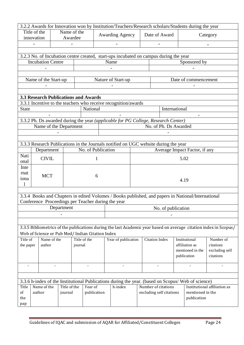|                                                                                     |              |                                                  |              |         |                                                     |              | 3.2.2 Awards for Innovation won by Institution/Teachers/Research scholars/Students during the year |  |  |                       |                          |      |                               |                                                                                                                  |
|-------------------------------------------------------------------------------------|--------------|--------------------------------------------------|--------------|---------|-----------------------------------------------------|--------------|----------------------------------------------------------------------------------------------------|--|--|-----------------------|--------------------------|------|-------------------------------|------------------------------------------------------------------------------------------------------------------|
|                                                                                     | Title of the |                                                  | Name of the  |         | Date of Award<br><b>Awarding Agency</b><br>Category |              |                                                                                                    |  |  |                       |                          |      |                               |                                                                                                                  |
|                                                                                     | innovation   |                                                  | Awardee      |         |                                                     |              |                                                                                                    |  |  |                       |                          |      |                               |                                                                                                                  |
|                                                                                     |              |                                                  |              |         |                                                     |              |                                                                                                    |  |  |                       |                          |      |                               |                                                                                                                  |
|                                                                                     |              |                                                  |              |         |                                                     |              |                                                                                                    |  |  |                       |                          |      |                               |                                                                                                                  |
|                                                                                     |              |                                                  |              |         |                                                     |              | 3.2.3 No. of Incubation centre created, start-ups incubated on campus during the year              |  |  |                       |                          |      |                               |                                                                                                                  |
|                                                                                     |              | <b>Incubation Centre</b>                         |              |         |                                                     |              | Name                                                                                               |  |  |                       |                          |      | Sponsored by                  |                                                                                                                  |
|                                                                                     |              |                                                  |              |         |                                                     |              |                                                                                                    |  |  |                       |                          |      |                               |                                                                                                                  |
| Date of commencement<br>Name of the Start-up<br>Nature of Start-up                  |              |                                                  |              |         |                                                     |              |                                                                                                    |  |  |                       |                          |      |                               |                                                                                                                  |
|                                                                                     |              |                                                  |              |         |                                                     |              |                                                                                                    |  |  |                       |                          |      |                               |                                                                                                                  |
|                                                                                     |              |                                                  |              |         |                                                     |              |                                                                                                    |  |  |                       |                          |      |                               |                                                                                                                  |
|                                                                                     |              | <b>3.3 Research Publications and Awards</b>      |              |         |                                                     |              |                                                                                                    |  |  |                       |                          |      |                               |                                                                                                                  |
|                                                                                     |              |                                                  |              |         |                                                     |              | 3.3.1 Incentive to the teachers who receive recognition/awards                                     |  |  |                       |                          |      |                               |                                                                                                                  |
| <b>State</b>                                                                        |              |                                                  |              |         | National                                            |              |                                                                                                    |  |  |                       | International            |      |                               |                                                                                                                  |
|                                                                                     |              |                                                  |              |         |                                                     |              |                                                                                                    |  |  |                       |                          |      |                               |                                                                                                                  |
|                                                                                     |              |                                                  |              |         |                                                     |              | 3.3.2 Ph. Ds awarded during the year (applicable for PG College, Research Center)                  |  |  |                       |                          |      |                               |                                                                                                                  |
|                                                                                     |              | Name of the Department                           |              |         |                                                     |              |                                                                                                    |  |  |                       | No. of Ph. Ds Awarded    |      |                               |                                                                                                                  |
|                                                                                     |              |                                                  |              |         |                                                     |              |                                                                                                    |  |  |                       |                          |      |                               |                                                                                                                  |
|                                                                                     |              |                                                  |              |         |                                                     |              |                                                                                                    |  |  |                       |                          |      |                               |                                                                                                                  |
| 3.3.3 Research Publications in the Journals notified on UGC website during the year |              |                                                  |              |         |                                                     |              |                                                                                                    |  |  |                       |                          |      |                               |                                                                                                                  |
|                                                                                     |              | Department                                       |              |         | No. of Publication                                  |              |                                                                                                    |  |  |                       |                          |      | Average Impact Factor, if any |                                                                                                                  |
| Nati                                                                                |              | <b>CIVIL</b>                                     |              |         |                                                     | $\mathbf{1}$ |                                                                                                    |  |  |                       |                          | 5.02 |                               |                                                                                                                  |
| onal                                                                                |              |                                                  |              |         |                                                     |              |                                                                                                    |  |  |                       |                          |      |                               |                                                                                                                  |
| Inte<br>rnat                                                                        |              |                                                  |              |         |                                                     |              |                                                                                                    |  |  |                       |                          |      |                               |                                                                                                                  |
| iona                                                                                |              | <b>MCT</b>                                       |              |         |                                                     | 6            |                                                                                                    |  |  |                       |                          |      |                               |                                                                                                                  |
| $\mathbf{l}$                                                                        |              |                                                  |              |         |                                                     |              |                                                                                                    |  |  |                       |                          | 4.19 |                               |                                                                                                                  |
|                                                                                     |              |                                                  |              |         |                                                     |              |                                                                                                    |  |  |                       |                          |      |                               |                                                                                                                  |
|                                                                                     |              |                                                  |              |         |                                                     |              | 3.3.4 Books and Chapters in edited Volumes / Books published, and papers in National/International |  |  |                       |                          |      |                               |                                                                                                                  |
|                                                                                     |              |                                                  |              |         |                                                     |              | Conference Proceedings per Teacher during the year                                                 |  |  |                       |                          |      |                               |                                                                                                                  |
|                                                                                     |              |                                                  | Department   |         |                                                     |              |                                                                                                    |  |  |                       | No. of publication       |      |                               |                                                                                                                  |
|                                                                                     |              |                                                  |              |         |                                                     |              |                                                                                                    |  |  |                       |                          |      |                               |                                                                                                                  |
|                                                                                     |              |                                                  |              |         |                                                     |              |                                                                                                    |  |  |                       |                          |      |                               |                                                                                                                  |
|                                                                                     |              |                                                  |              |         |                                                     |              |                                                                                                    |  |  |                       |                          |      |                               | 3.3.5 Bibliometrics of the publications during the last Academic year based on average citation index in Scopus/ |
|                                                                                     |              | Web of Science or Pub Med/ Indian Citation Index |              |         |                                                     |              |                                                                                                    |  |  |                       |                          |      |                               |                                                                                                                  |
| Title of                                                                            |              | Name of the                                      |              |         | Title of the                                        |              | Year of publication                                                                                |  |  | <b>Citation Index</b> |                          |      | Institutional                 | Number of                                                                                                        |
| the paper                                                                           |              | author                                           |              | journal |                                                     |              |                                                                                                    |  |  |                       |                          |      | affiliation as                | citations                                                                                                        |
|                                                                                     |              |                                                  |              |         |                                                     |              |                                                                                                    |  |  |                       |                          |      | mentioned in the              | excluding self                                                                                                   |
|                                                                                     |              |                                                  |              |         |                                                     |              |                                                                                                    |  |  |                       |                          |      | publication                   | citations                                                                                                        |
|                                                                                     |              | $\overline{a}$                                   |              |         | $\overline{\phantom{a}}$                            |              | $\overline{\phantom{a}}$                                                                           |  |  |                       |                          |      |                               | $\overline{a}$                                                                                                   |
|                                                                                     |              |                                                  |              |         |                                                     |              |                                                                                                    |  |  |                       |                          |      |                               |                                                                                                                  |
|                                                                                     |              |                                                  |              |         |                                                     |              |                                                                                                    |  |  |                       |                          |      |                               |                                                                                                                  |
|                                                                                     |              |                                                  |              |         |                                                     |              | 3.3.6 h-index of the Institutional Publications during the year. (based on Scopus/ Web of science) |  |  |                       |                          |      |                               |                                                                                                                  |
| Title                                                                               |              | Name of the                                      | Title of the |         | Year of                                             |              | h-index                                                                                            |  |  |                       | Number of citations      |      |                               | Institutional affiliation as                                                                                     |
| of                                                                                  | author       |                                                  | journal      |         | publication                                         |              |                                                                                                    |  |  |                       | excluding self citations |      | mentioned in the              |                                                                                                                  |
| the                                                                                 |              |                                                  |              |         |                                                     |              |                                                                                                    |  |  |                       |                          |      | publication                   |                                                                                                                  |
|                                                                                     | pap          |                                                  |              |         |                                                     |              |                                                                                                    |  |  |                       |                          |      |                               |                                                                                                                  |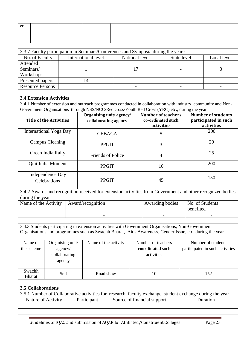| er                              |                                |               |                  |                         |               |  |                             |                                                                                    |                                                                                                        |                                                                                                                |  |
|---------------------------------|--------------------------------|---------------|------------------|-------------------------|---------------|--|-----------------------------|------------------------------------------------------------------------------------|--------------------------------------------------------------------------------------------------------|----------------------------------------------------------------------------------------------------------------|--|
|                                 |                                |               |                  |                         |               |  |                             |                                                                                    |                                                                                                        |                                                                                                                |  |
|                                 |                                |               |                  |                         |               |  |                             |                                                                                    |                                                                                                        |                                                                                                                |  |
|                                 |                                |               |                  |                         |               |  |                             | 3.3.7 Faculty participation in Seminars/Conferences and Symposia during the year : |                                                                                                        |                                                                                                                |  |
| No. of Faculty                  |                                |               |                  | International level     |               |  | National level              |                                                                                    | State level                                                                                            | Local level                                                                                                    |  |
| Attended                        |                                |               |                  |                         |               |  |                             |                                                                                    |                                                                                                        |                                                                                                                |  |
| Seminars/                       |                                |               |                  | 1                       |               |  | 17                          |                                                                                    |                                                                                                        | 3                                                                                                              |  |
| Workshops                       |                                |               |                  |                         |               |  |                             |                                                                                    |                                                                                                        |                                                                                                                |  |
| Presented papers                |                                |               |                  | 14                      |               |  | $\overline{\phantom{a}}$    |                                                                                    | $\overline{\phantom{a}}$                                                                               | $\overline{\phantom{a}}$                                                                                       |  |
| <b>Resource Persons</b>         |                                |               |                  | 1                       |               |  |                             |                                                                                    |                                                                                                        |                                                                                                                |  |
| <b>3.4 Extension Activities</b> |                                |               |                  |                         |               |  |                             |                                                                                    |                                                                                                        |                                                                                                                |  |
|                                 |                                |               |                  |                         |               |  |                             |                                                                                    |                                                                                                        | 3.4.1 Number of extension and outreach programmes conducted in collaboration with industry, community and Non- |  |
|                                 |                                |               |                  |                         |               |  |                             |                                                                                    | Government Organisations through NSS/NCC/Red cross/Youth Red Cross (YRC) etc., during the year         |                                                                                                                |  |
|                                 |                                |               |                  | Organising unit/agency/ |               |  |                             | <b>Number of teachers</b>                                                          |                                                                                                        | <b>Number of students</b>                                                                                      |  |
|                                 | <b>Title of the Activities</b> |               |                  | collaborating agency    |               |  |                             | co-ordinated such                                                                  |                                                                                                        | participated in such                                                                                           |  |
|                                 |                                |               |                  |                         |               |  |                             | activities                                                                         |                                                                                                        | activities                                                                                                     |  |
|                                 | <b>International Yoga Day</b>  |               |                  |                         | <b>CEBACA</b> |  |                             | 5                                                                                  |                                                                                                        | 200                                                                                                            |  |
|                                 | <b>Campus Cleaning</b>         |               |                  |                         | <b>PPGIT</b>  |  |                             | 3                                                                                  |                                                                                                        | 20                                                                                                             |  |
| Green India Rally               |                                |               |                  | Friends of Police       |               |  |                             | 4                                                                                  |                                                                                                        | 25                                                                                                             |  |
| Quit India Moment               |                                |               |                  |                         | <b>PPGIT</b>  |  |                             | 10                                                                                 |                                                                                                        | 200                                                                                                            |  |
|                                 | Independence Day               |               |                  |                         |               |  |                             |                                                                                    |                                                                                                        |                                                                                                                |  |
|                                 | Celebrations                   |               |                  | <b>PPGIT</b>            |               |  | 45                          |                                                                                    | 150                                                                                                    |                                                                                                                |  |
| during the year                 |                                |               |                  |                         |               |  |                             |                                                                                    |                                                                                                        | 3.4.2 Awards and recognition received for extension activities from Government and other recognized bodies     |  |
| Name of the Activity            |                                |               |                  | Award/recognition       |               |  | Awarding bodies             |                                                                                    |                                                                                                        | No. of Students<br>benefited                                                                                   |  |
|                                 |                                |               |                  |                         |               |  |                             |                                                                                    |                                                                                                        |                                                                                                                |  |
|                                 |                                |               |                  |                         |               |  |                             |                                                                                    | 3.4.3 Students participating in extension activities with Government Organisations, Non-Government     |                                                                                                                |  |
|                                 |                                |               |                  |                         |               |  |                             |                                                                                    | Organisations and programmes such as Swachh Bharat, Aids Awareness, Gender Issue, etc. during the year |                                                                                                                |  |
| Name of                         |                                |               | Organising unit/ | Name of the activity    |               |  | Number of teachers          |                                                                                    |                                                                                                        | Number of students                                                                                             |  |
| the scheme                      |                                | agency/       |                  |                         |               |  | coordinated such            |                                                                                    |                                                                                                        | participated in such activities                                                                                |  |
|                                 |                                | collaborating |                  |                         |               |  | activities                  |                                                                                    |                                                                                                        |                                                                                                                |  |
|                                 |                                | agency        |                  |                         |               |  |                             |                                                                                    |                                                                                                        |                                                                                                                |  |
|                                 |                                |               |                  |                         |               |  |                             |                                                                                    |                                                                                                        |                                                                                                                |  |
| Swachh<br><b>Bharat</b>         |                                | Self          |                  | Road show               |               |  | 10                          |                                                                                    |                                                                                                        | 152                                                                                                            |  |
|                                 |                                |               |                  |                         |               |  |                             |                                                                                    |                                                                                                        |                                                                                                                |  |
| <b>3.5 Collaborations</b>       |                                |               |                  |                         |               |  |                             |                                                                                    |                                                                                                        |                                                                                                                |  |
|                                 |                                |               |                  |                         |               |  |                             |                                                                                    |                                                                                                        | 3.5.1 Number of Collaborative activities for research, faculty exchange, student exchange during the year      |  |
|                                 | Nature of Activity             |               |                  | Participant             |               |  | Source of financial support |                                                                                    |                                                                                                        | Duration                                                                                                       |  |
|                                 |                                |               |                  |                         |               |  |                             |                                                                                    |                                                                                                        |                                                                                                                |  |
|                                 |                                |               |                  |                         |               |  |                             |                                                                                    |                                                                                                        |                                                                                                                |  |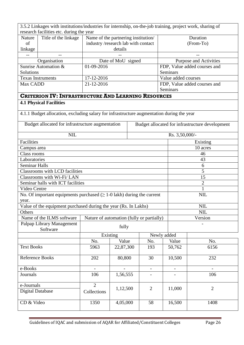| 3.5.2 Linkages with institutions/industries for internship, on-the-job training, project work, sharing of |                                                                                           |                                           |                    |     |                |             |                          |                                                 |  |  |
|-----------------------------------------------------------------------------------------------------------|-------------------------------------------------------------------------------------------|-------------------------------------------|--------------------|-----|----------------|-------------|--------------------------|-------------------------------------------------|--|--|
|                                                                                                           | research facilities etc. during the year                                                  |                                           |                    |     |                |             |                          |                                                 |  |  |
| Nature                                                                                                    | Title of the linkage                                                                      | Name of the partnering institution/       |                    |     |                |             | Duration                 |                                                 |  |  |
| of                                                                                                        |                                                                                           | industry/research lab with contact        |                    |     |                |             |                          | (From-To)                                       |  |  |
| linkage                                                                                                   |                                                                                           |                                           | details            |     |                |             |                          |                                                 |  |  |
| $\overline{\phantom{m}}$                                                                                  |                                                                                           |                                           |                    |     |                |             |                          |                                                 |  |  |
|                                                                                                           | Organisation                                                                              |                                           | Date of MoU signed |     |                |             |                          | Purpose and Activities                          |  |  |
|                                                                                                           | Sunrise Automation &                                                                      | 01-09-2016                                |                    |     |                |             |                          | FDP, Value added courses and                    |  |  |
| Solutions                                                                                                 |                                                                                           |                                           |                    |     |                | Seminars    |                          |                                                 |  |  |
|                                                                                                           | <b>Texas Instruments</b>                                                                  | 17-12-2016                                |                    |     |                |             | Value added courses      |                                                 |  |  |
| Max CADD                                                                                                  |                                                                                           | 21-12-2016                                |                    |     |                |             |                          | FDP, Value added courses and                    |  |  |
|                                                                                                           |                                                                                           |                                           |                    |     |                | Seminars    |                          |                                                 |  |  |
|                                                                                                           | <b>CRITERION IV: INFRASTRUCTURE AND LEARNING RESOURCES</b>                                |                                           |                    |     |                |             |                          |                                                 |  |  |
|                                                                                                           | <b>4.1 Physical Facilities</b>                                                            |                                           |                    |     |                |             |                          |                                                 |  |  |
|                                                                                                           | 4.1.1 Budget allocation, excluding salary for infrastructure augmentation during the year |                                           |                    |     |                |             |                          |                                                 |  |  |
|                                                                                                           | Budget allocated for infrastructure augmentation                                          |                                           |                    |     |                |             |                          | Budget allocated for infrastructure development |  |  |
|                                                                                                           | <b>NIL</b>                                                                                |                                           |                    |     |                |             | Rs. 3,50,000/-           |                                                 |  |  |
| Facilities                                                                                                |                                                                                           |                                           |                    |     |                |             |                          | Existing                                        |  |  |
| Campus area                                                                                               |                                                                                           |                                           |                    |     |                |             | 10 acres                 |                                                 |  |  |
| Class rooms                                                                                               |                                                                                           |                                           |                    |     |                |             |                          | 46                                              |  |  |
| Laboratories                                                                                              |                                                                                           |                                           |                    |     |                |             |                          | 43                                              |  |  |
| <b>Seminar Halls</b>                                                                                      |                                                                                           |                                           |                    |     |                |             |                          | 6                                               |  |  |
|                                                                                                           | <b>Classrooms with LCD facilities</b>                                                     |                                           |                    |     |                |             |                          | 5                                               |  |  |
|                                                                                                           | Classrooms with Wi-Fi/ LAN                                                                |                                           |                    |     |                |             | 15                       |                                                 |  |  |
|                                                                                                           | Seminar halls with ICT facilities                                                         |                                           |                    |     |                |             |                          | $\mathbf{2}$                                    |  |  |
| Video Centre                                                                                              |                                                                                           |                                           |                    |     |                |             | 1                        |                                                 |  |  |
|                                                                                                           | No. Of important equipments purchased $(\geq 1-0)$ lakh) during the current               |                                           |                    |     |                |             |                          | <b>NIL</b>                                      |  |  |
| year.                                                                                                     |                                                                                           |                                           |                    |     |                |             |                          |                                                 |  |  |
|                                                                                                           | Value of the equipment purchased during the year (Rs. In Lakhs)                           |                                           |                    |     |                |             |                          | NIL                                             |  |  |
| Others                                                                                                    |                                                                                           |                                           |                    |     |                |             |                          | <b>NIL</b>                                      |  |  |
|                                                                                                           | Name of the ILMS software                                                                 | Nature of automation (fully or partially) |                    |     |                |             |                          | Version                                         |  |  |
|                                                                                                           | Palpap Library Management<br>Software                                                     |                                           | fully              |     |                |             |                          |                                                 |  |  |
|                                                                                                           |                                                                                           | Existing                                  |                    |     |                | Newly added |                          |                                                 |  |  |
|                                                                                                           |                                                                                           | No.                                       | Value              |     | No.            |             | Value                    | No.                                             |  |  |
| <b>Text Books</b>                                                                                         |                                                                                           | 5963                                      | 22,87,300          |     | 193            |             | 50,762                   | 6156                                            |  |  |
| <b>Reference Books</b>                                                                                    |                                                                                           | 202                                       | 80,800             |     | 30             |             | 10,500                   | 232                                             |  |  |
| e-Books                                                                                                   |                                                                                           |                                           |                    |     | $\blacksquare$ |             | $\overline{\phantom{0}}$ |                                                 |  |  |
| Journals                                                                                                  |                                                                                           |                                           |                    | 106 |                |             |                          |                                                 |  |  |
| e-Journals                                                                                                |                                                                                           | $\overline{2}$                            |                    |     |                |             |                          |                                                 |  |  |
| <b>Digital Database</b>                                                                                   |                                                                                           | Collections                               | 1,12,500           |     | $\overline{2}$ |             | 11,000                   | $\mathbf{2}$                                    |  |  |
| CD & Video                                                                                                |                                                                                           | 1350                                      | 4,05,000           |     | 58             |             | 16,500                   | 1408                                            |  |  |

Guidelines of IQAC and submission of AQAR for Affiliated/Constituent Colleges Page 26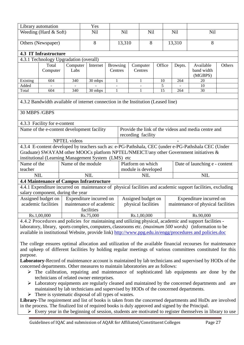| Library automation                                                                                       | Yes                                    |                     |                                                                                   |                          |          |                          |                 |  |            |                                                                                                             |        |  |
|----------------------------------------------------------------------------------------------------------|----------------------------------------|---------------------|-----------------------------------------------------------------------------------|--------------------------|----------|--------------------------|-----------------|--|------------|-------------------------------------------------------------------------------------------------------------|--------|--|
|                                                                                                          | Weeding (Hard $& Soft$ )               |                     | <b>Nil</b>                                                                        | <b>Nil</b>               |          | <b>Nil</b>               |                 |  | <b>Nil</b> | <b>Nil</b>                                                                                                  |        |  |
|                                                                                                          | Others (Newspaper)                     |                     | 8                                                                                 |                          | 13,310   |                          |                 |  | 13,310     | 8                                                                                                           |        |  |
|                                                                                                          |                                        |                     |                                                                                   |                          |          | 8                        |                 |  |            |                                                                                                             |        |  |
| <b>4.3 IT Infrastructure</b>                                                                             |                                        |                     |                                                                                   |                          |          |                          |                 |  |            |                                                                                                             |        |  |
|                                                                                                          | 4.3.1 Technology Upgradation (overall) |                     |                                                                                   |                          |          |                          |                 |  |            |                                                                                                             |        |  |
|                                                                                                          | Total                                  | Computer            | Internet                                                                          | <b>Browsing</b>          | Computer |                          | Office          |  | Depts.     | Available                                                                                                   | Others |  |
|                                                                                                          | Computer                               | Labs                | Centres                                                                           |                          | Centres  |                          |                 |  |            | band width<br>(MGBPS)                                                                                       |        |  |
| Existing                                                                                                 | 604                                    | 340                 | 30 mbps                                                                           | 1                        |          | 1                        | 10              |  | 264        | 20                                                                                                          |        |  |
| Added                                                                                                    |                                        |                     |                                                                                   | $\overline{\phantom{a}}$ |          | $\overline{\phantom{a}}$ | 5               |  |            | 10                                                                                                          |        |  |
| Total                                                                                                    | 604                                    | 340                 | 30 mbps                                                                           | 1                        |          | 1                        | $\overline{15}$ |  | 264        | 30                                                                                                          |        |  |
|                                                                                                          |                                        |                     |                                                                                   |                          |          |                          |                 |  |            |                                                                                                             |        |  |
|                                                                                                          |                                        |                     | 4.3.2 Bandwidth available of internet connection in the Institution (Leased line) |                          |          |                          |                 |  |            |                                                                                                             |        |  |
| 30 MBPS /GBPS                                                                                            |                                        |                     |                                                                                   |                          |          |                          |                 |  |            |                                                                                                             |        |  |
|                                                                                                          | 4.3.3 Facility for e-content           |                     |                                                                                   |                          |          |                          |                 |  |            |                                                                                                             |        |  |
|                                                                                                          |                                        |                     | Name of the e-content development facility                                        |                          |          |                          |                 |  |            | Provide the link of the videos and media centre and                                                         |        |  |
|                                                                                                          |                                        |                     |                                                                                   |                          |          | recording facility       |                 |  |            |                                                                                                             |        |  |
|                                                                                                          |                                        | <b>NPTEL</b> videos |                                                                                   |                          |          |                          |                 |  |            |                                                                                                             |        |  |
|                                                                                                          |                                        |                     |                                                                                   |                          |          |                          |                 |  |            | 4.3.4 E-content developed by teachers such as: e-PG-Pathshala, CEC (under e-PG-Pathshala CEC (Under         |        |  |
|                                                                                                          |                                        |                     |                                                                                   |                          |          |                          |                 |  |            | Graduate) SWAYAM other MOOCs platform NPTEL/NMEICT/any other Government initiatives &                       |        |  |
|                                                                                                          |                                        |                     | institutional (Learning Management System (LMS) etc                               |                          |          |                          |                 |  |            |                                                                                                             |        |  |
| Name of the                                                                                              |                                        |                     | Name of the module                                                                |                          |          | Platform on which        |                 |  |            | Date of launching e - content                                                                               |        |  |
| teacher                                                                                                  |                                        |                     |                                                                                   |                          |          | module is developed      |                 |  |            |                                                                                                             |        |  |
| <b>NIL</b>                                                                                               |                                        |                     | <b>NIL</b>                                                                        |                          |          | <b>NIL</b>               |                 |  |            | <b>NIL</b>                                                                                                  |        |  |
|                                                                                                          |                                        |                     | <b>4.4 Maintenance of Campus Infrastructure</b>                                   |                          |          |                          |                 |  |            |                                                                                                             |        |  |
|                                                                                                          |                                        |                     |                                                                                   |                          |          |                          |                 |  |            | 4.4.1 Expenditure incurred on maintenance of physical facilities and academic support facilities, excluding |        |  |
|                                                                                                          | salary component, during the year      |                     |                                                                                   |                          |          |                          |                 |  |            |                                                                                                             |        |  |
|                                                                                                          | Assigned budget on $\vert$             |                     | Expenditure incurred on                                                           |                          |          | Assigned budget on       |                 |  |            | Expenditure incurred on                                                                                     |        |  |
|                                                                                                          |                                        |                     | academic facilities   maintenance of academic                                     |                          |          | physical facilities      |                 |  |            | maintenance of physical facilities                                                                          |        |  |
|                                                                                                          |                                        |                     | facilities                                                                        |                          |          |                          |                 |  |            |                                                                                                             |        |  |
|                                                                                                          | Rs.1,00,000                            |                     | Rs.75,000                                                                         |                          |          | Rs.1,00,000              |                 |  |            | Rs.90,000                                                                                                   |        |  |
|                                                                                                          |                                        |                     |                                                                                   |                          |          |                          |                 |  |            | 4.4.2 Procedures and policies for maintaining and utilizing physical, academic and support facilities -     |        |  |
|                                                                                                          |                                        |                     |                                                                                   |                          |          |                          |                 |  |            | laboratory, library, sports complex, computers, classrooms etc. (maximum 500 words) (information to be      |        |  |
| available in institutional Website, provide link) http://www.ppg.edu.in/engg/procedures and policies.doc |                                        |                     |                                                                                   |                          |          |                          |                 |  |            |                                                                                                             |        |  |

The college ensures optimal allocation and utilization of the available financial recourses for maintenance and upkeep of different facilities by holding regular meetings of various committees constituted for this purpose.

**Laboratory**-Record of maintenance account is maintained by lab technicians and supervised by HODs of the concerned departments. Other measures to maintain laboratories are as follows:

- $\triangleright$  The calibration, repairing and maintenance of sophisticated lab equipments are done by the technicians of related owner enterprises.
- $\triangleright$  Laboratory equipments are regularly cleaned and maintained by the concerned departments and are maintained by lab technicians and supervised by HODs of the concerned departments.
- $\triangleright$  There is systematic disposal of all types of wastes.

**Library**-The requirement and list of books is taken from the concerned departments and HoDs are involved in the process. The finalized list of required books is duly approved and signed by the Principal.

 $\triangleright$  Every year in the beginning of session, students are motivated to register themselves in library to use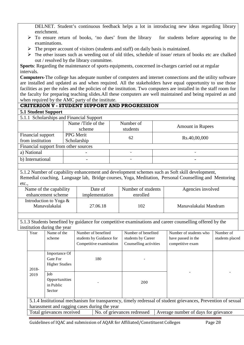DELNET. Student's continuous feedback helps a lot in introducing new ideas regarding library enrichment.

- $\triangleright$  To ensure return of books, 'no dues' from the library for students before appearing to the examinations.
- $\triangleright$  The proper account of visitors (students and staff) on daily basis is maintained.
- $\triangleright$  The other issues such as weeding out of old titles, schedule of issue/ return of books etc are chalked out / resolved by the library committee.

**Sports**: Regarding the maintenance of sports equipments, concerned in-charges carried out at regular intervals.

**Computers**-The college has adequate number of computers and internet connections and the utility software are installed and updated as and when required. All the stakeholders have equal opportunity to use those facilities as per the rules and the policies of the institution. Two computers are installed in the staff room for the faculty for preparing teaching slides.All these computers are well maintained and being repaired as and when required by the AMC party of the institute.

|                                                     |                                                    |                    |                                              |           | <b>CRITERION V - STUDENT SUPPORT AND PROGRESSION</b> |  |                                                                                                                                                                                                         |                              |  |  |
|-----------------------------------------------------|----------------------------------------------------|--------------------|----------------------------------------------|-----------|------------------------------------------------------|--|---------------------------------------------------------------------------------------------------------------------------------------------------------------------------------------------------------|------------------------------|--|--|
| <b>5.1 Student Support</b>                          |                                                    |                    |                                              |           |                                                      |  |                                                                                                                                                                                                         |                              |  |  |
|                                                     |                                                    |                    | 5.1.1 Scholarships and Financial Support     |           |                                                      |  |                                                                                                                                                                                                         |                              |  |  |
|                                                     |                                                    | Name /Title of the |                                              | Number of |                                                      |  |                                                                                                                                                                                                         |                              |  |  |
|                                                     |                                                    |                    | scheme                                       |           | students                                             |  | <b>Amount in Rupees</b>                                                                                                                                                                                 |                              |  |  |
| Financial support                                   |                                                    | PPG Merit          |                                              |           | 62                                                   |  | Rs.40,00,000                                                                                                                                                                                            |                              |  |  |
| from institution                                    |                                                    |                    | Scholarship                                  |           |                                                      |  |                                                                                                                                                                                                         |                              |  |  |
|                                                     | Financial support from other sources               |                    |                                              |           |                                                      |  |                                                                                                                                                                                                         |                              |  |  |
| a) National                                         |                                                    |                    |                                              |           |                                                      |  |                                                                                                                                                                                                         |                              |  |  |
| b) International                                    |                                                    |                    | $\overline{\phantom{0}}$                     |           |                                                      |  |                                                                                                                                                                                                         |                              |  |  |
|                                                     |                                                    |                    |                                              |           |                                                      |  |                                                                                                                                                                                                         |                              |  |  |
| etc.,                                               |                                                    |                    |                                              |           |                                                      |  | 5.1.2 Number of capability enhancement and development schemes such as Soft skill development,<br>Remedial coaching, Language lab, Bridge courses, Yoga, Meditation, Personal Counselling and Mentoring |                              |  |  |
|                                                     | Name of the capability                             |                    | Date of                                      |           | Number of students                                   |  | Agencies involved                                                                                                                                                                                       |                              |  |  |
|                                                     | enhancement scheme                                 |                    | implementation                               | enrolled  |                                                      |  |                                                                                                                                                                                                         |                              |  |  |
| Introduction to Yoga &<br>Manavalakalai             |                                                    |                    | 27.06.18                                     |           | 102                                                  |  | Manavalakalai Mandram                                                                                                                                                                                   |                              |  |  |
|                                                     |                                                    |                    |                                              |           |                                                      |  |                                                                                                                                                                                                         |                              |  |  |
|                                                     |                                                    |                    |                                              |           |                                                      |  | 5.1.3 Students benefited by guidance for competitive examinations and career counselling offered by the                                                                                                 |                              |  |  |
| Year                                                | institution during the year<br>Name of the         |                    | Number of benefited                          |           | Number of benefited                                  |  | Number of students who                                                                                                                                                                                  |                              |  |  |
|                                                     | scheme                                             |                    | students by Guidance for                     |           | students by Career                                   |  | have passed in the                                                                                                                                                                                      | Number of<br>students placed |  |  |
|                                                     |                                                    |                    | Competitive examination                      |           | Counselling activities                               |  | competitive exam                                                                                                                                                                                        |                              |  |  |
| 2018-                                               | Importance Of<br>Gate For<br><b>Higher Studies</b> |                    | 180                                          |           | 200                                                  |  |                                                                                                                                                                                                         |                              |  |  |
| Job<br>2019<br>Opportunities<br>in Public<br>Sector |                                                    |                    |                                              |           |                                                      |  |                                                                                                                                                                                                         |                              |  |  |
|                                                     |                                                    |                    | harassment and ragging cases during the year |           |                                                      |  | 5.1.4 Institutional mechanism for transparency, timely redressal of student grievances, Prevention of sexual                                                                                            |                              |  |  |

Total grievances received No. of grievances redressed Average number of days for grievance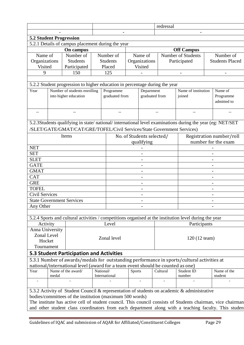|                                                                                                       |       |                                                                                                          |  |                 |               |                           |  | redressal |                     |                          |                                                                                                             |  |
|-------------------------------------------------------------------------------------------------------|-------|----------------------------------------------------------------------------------------------------------|--|-----------------|---------------|---------------------------|--|-----------|---------------------|--------------------------|-------------------------------------------------------------------------------------------------------------|--|
|                                                                                                       |       |                                                                                                          |  |                 |               |                           |  |           |                     |                          |                                                                                                             |  |
| <b>5.2 Student Progression</b>                                                                        |       |                                                                                                          |  |                 |               |                           |  |           |                     |                          |                                                                                                             |  |
| 5.2.1 Details of campus placement during the year                                                     |       |                                                                                                          |  |                 |               |                           |  |           |                     |                          |                                                                                                             |  |
|                                                                                                       |       | On campus                                                                                                |  |                 |               |                           |  |           | <b>Off Campus</b>   |                          |                                                                                                             |  |
| Name of                                                                                               |       | Number of                                                                                                |  | Number of       |               | Name of                   |  |           | Number of Students  |                          | Number of                                                                                                   |  |
| Organizations                                                                                         |       | <b>Students</b>                                                                                          |  | <b>Students</b> |               | Organizations             |  |           | Participated        |                          | <b>Students Placed</b>                                                                                      |  |
| Visited                                                                                               |       | Participated                                                                                             |  | Placed          |               | Visited                   |  |           |                     |                          |                                                                                                             |  |
| 9                                                                                                     |       | 150                                                                                                      |  | 125             |               |                           |  |           |                     |                          |                                                                                                             |  |
|                                                                                                       |       |                                                                                                          |  |                 |               |                           |  |           |                     |                          |                                                                                                             |  |
|                                                                                                       |       | 5.2.2 Student progression to higher education in percentage during the year                              |  |                 |               |                           |  |           |                     |                          |                                                                                                             |  |
| Year                                                                                                  |       | Number of students enrolling                                                                             |  | Programme       |               | Department                |  |           | Name of institution |                          | Name of                                                                                                     |  |
|                                                                                                       |       | into higher education                                                                                    |  | graduated from  |               | graduated from            |  |           | joined              |                          | Programme                                                                                                   |  |
|                                                                                                       |       |                                                                                                          |  |                 |               |                           |  |           |                     |                          | admitted to                                                                                                 |  |
|                                                                                                       |       |                                                                                                          |  |                 |               |                           |  |           |                     |                          |                                                                                                             |  |
|                                                                                                       |       |                                                                                                          |  |                 |               |                           |  |           |                     |                          |                                                                                                             |  |
|                                                                                                       |       | 5.2.3Students qualifying in state/national/international level examinations during the year (eg: NET/SET |  |                 |               |                           |  |           |                     |                          |                                                                                                             |  |
|                                                                                                       |       | /SLET/GATE/GMAT/CAT/GRE/TOFEL/Civil Services/State Government Services)                                  |  |                 |               |                           |  |           |                     |                          |                                                                                                             |  |
|                                                                                                       |       |                                                                                                          |  |                 |               |                           |  |           |                     |                          |                                                                                                             |  |
|                                                                                                       |       | Items                                                                                                    |  |                 |               | No. of Students selected/ |  |           |                     | Registration number/roll |                                                                                                             |  |
| <b>NET</b>                                                                                            |       |                                                                                                          |  |                 |               | qualifying                |  |           | number for the exam |                          |                                                                                                             |  |
| <b>SET</b>                                                                                            |       |                                                                                                          |  |                 |               |                           |  |           |                     |                          |                                                                                                             |  |
| <b>SLET</b>                                                                                           |       |                                                                                                          |  |                 |               |                           |  |           |                     |                          |                                                                                                             |  |
| <b>GATE</b>                                                                                           |       |                                                                                                          |  |                 |               |                           |  |           |                     |                          |                                                                                                             |  |
| <b>GMAT</b>                                                                                           |       |                                                                                                          |  |                 |               |                           |  |           |                     |                          |                                                                                                             |  |
| <b>CAT</b>                                                                                            |       |                                                                                                          |  |                 |               | $\overline{\phantom{0}}$  |  |           |                     |                          |                                                                                                             |  |
| <b>GRE</b>                                                                                            |       |                                                                                                          |  |                 |               |                           |  |           |                     |                          |                                                                                                             |  |
| <b>TOFEL</b>                                                                                          |       |                                                                                                          |  |                 |               | $\overline{a}$            |  |           |                     |                          | $\overline{a}$                                                                                              |  |
| <b>Civil Services</b>                                                                                 |       |                                                                                                          |  |                 |               |                           |  |           |                     |                          |                                                                                                             |  |
|                                                                                                       |       | <b>State Government Services</b>                                                                         |  |                 |               |                           |  |           |                     |                          |                                                                                                             |  |
| Any Other                                                                                             |       |                                                                                                          |  |                 |               |                           |  |           |                     |                          |                                                                                                             |  |
|                                                                                                       |       |                                                                                                          |  |                 |               |                           |  |           |                     |                          |                                                                                                             |  |
|                                                                                                       |       | 5.2.4 Sports and cultural activities / competitions organised at the institution level during the year   |  |                 |               |                           |  |           |                     |                          |                                                                                                             |  |
| Activity                                                                                              |       |                                                                                                          |  | Level           |               |                           |  |           | Participants        |                          |                                                                                                             |  |
| Anna University                                                                                       |       |                                                                                                          |  |                 |               |                           |  |           |                     |                          |                                                                                                             |  |
| Zonal Level                                                                                           |       |                                                                                                          |  |                 |               |                           |  |           |                     |                          |                                                                                                             |  |
| Hocket                                                                                                |       |                                                                                                          |  | Zonal level     |               |                           |  |           | 120 (12 team)       |                          |                                                                                                             |  |
| Tournament                                                                                            |       |                                                                                                          |  |                 |               |                           |  |           |                     |                          |                                                                                                             |  |
|                                                                                                       |       | <b>5.3 Student Participation and Activities</b>                                                          |  |                 |               |                           |  |           |                     |                          |                                                                                                             |  |
|                                                                                                       |       | 5.3.1 Number of awards/medals for outstanding performance in sports/cultural activities at               |  |                 |               |                           |  |           |                     |                          |                                                                                                             |  |
|                                                                                                       |       | national/international level (award for a team event should be counted as one)                           |  |                 |               |                           |  |           |                     |                          |                                                                                                             |  |
| Year                                                                                                  |       | Name of the award/                                                                                       |  | National/       | <b>Sports</b> |                           |  | Cultural  | Student ID          |                          | Name of the                                                                                                 |  |
| $\overline{\phantom{a}}$                                                                              | medal |                                                                                                          |  | International   |               |                           |  |           | number              |                          | student                                                                                                     |  |
|                                                                                                       |       |                                                                                                          |  |                 |               |                           |  |           |                     |                          |                                                                                                             |  |
|                                                                                                       |       | 5.3.2 Activity of Student Council & representation of students on academic & administrative              |  |                 |               |                           |  |           |                     |                          |                                                                                                             |  |
|                                                                                                       |       | bodies/committees of the institution (maximum 500 words)                                                 |  |                 |               |                           |  |           |                     |                          |                                                                                                             |  |
|                                                                                                       |       |                                                                                                          |  |                 |               |                           |  |           |                     |                          | The institute has active cell of student council. This council consists of Students chairman, vice chairman |  |
| and other student class coordinators from each department along with a teaching faculty. This student |       |                                                                                                          |  |                 |               |                           |  |           |                     |                          |                                                                                                             |  |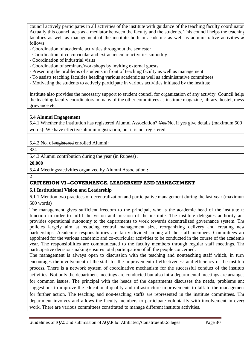council actively participates in all activities of the institute with guidance of the teaching faculty coordinator. Actually this council acts as a mediator between the faculty and the students. This council helps the teaching faculties as well as management of the institute both in academic as well as administrative activities as follows:

- Coordination of academic activities throughout the semester
- Coordination of co curricular and extracurricular activities smoothly
- Coordination of industrial visits
- Coordination of seminars/workshops by inviting external guests
- Presenting the problems of students in front of teaching faculty as well as management
- To assists teaching faculties heading various academic as well as administrative committees
- Motivating the students to actively participate in various activities initiated by the institute.

Institute also provides the necessary support to student council for organization of any activity. Council helps the teaching faculty coordinators in many of the other committees as institute magazine, library, hostel, mess, grievance etc

#### **5.4 Alumni Engagement**

5.4.1 Whether the institution has registered Alumni Association? Yes/No, if yes give details (maximum 500 words): We have effective alumni registration, but it is not registered.

5.4.2 No. of registered enrolled Alumni:

824

5.4.3 Alumni contribution during the year (in Rupees) **:**

**20,000**

5.4.4 Meetings/activities organized by Alumni Association **:**

**2**

#### **CRITERION VI –GOVERNANCE, LEADERSHIP AND MANAGEMENT**

#### **6.1 Institutional Vision and Leadership**

6.1.1 Mention two practices of decentralization and participative management during the last year (maximum 500 words)

The management gives sufficient freedom to the principal, who is the academic head of the institute to function in order to fulfil the vision and mission of the institute. The institute delegates authority and provides operational autonomy to the departments to work towards decentralized governance system. The policies largely aim at reducing central management size, reorganizing delivery and creating new partnerships. Academic responsibilities are fairly divided among all the staff members. Committees are appointed for the various academic and co-curricular activities to be conducted in the course of the academic year. The responsibilities are communicated to the faculty members through regular staff meetings. The participative decision-making ensures total participation of all the people concerned.

The management is always open to discussion with the teaching and nonteaching staff which, in turn encourages the involvement of the staff for the improvement of effectiveness and efficiency of the institute process. There is a network system of coordinative mechanism for the successful conduct of the institute activities. Not only the department meetings are conducted but also intra departmental meetings are arranged for common issues. The principal with the heads of the departments discusses the needs, problems and suggestions to improve the educational quality and infrastructure improvements to talk to the management for further action. The teaching and non-teaching staffs are represented in the institute committees. The department involves and allows the faculty members to participate voluntarily with involvement in every work. There are various committees constituted to manage different institute activities.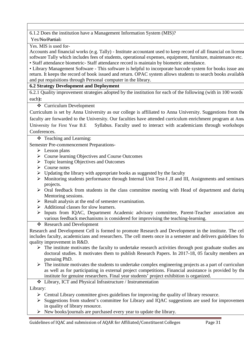#### 6.1.2 Does the institution have a Management Information System (MIS)?

Yes/No/Partial:

Yes. MIS is used for-

Accounts and financial works (e.g. Tally) - Institute accountant used to keep record of all financial on license software Tally which includes fees of students, operational expenses, equipment, furniture, maintenance etc. • Staff attendance biometric- Staff attendance record is maintain by biometric attendance.

• Library Management Software - This software is helpful to incorporate barcode system for books issue and return. It keeps the record of book issued and return. OPAC system allows students to search books available and put requisitions through Personal computer in the library.

#### **6.2 Strategy Development and Deployment**

6.2.1 Quality improvement strategies adopted by the institution for each of the following (with in 100 words each**):**

Curriculum Development

Curriculum is set by Anna University as our college is affiliated to Anna University. Suggestions from the faculty are forwarded to the University. Our faculties have attended curriculum enrichment program at Anna University for First Year B.E Syllabus. Faculty used to interact with academicians through workshops Conferences.

Teaching and Learning:

Semester Pre-commencement Preparations-

- $\triangleright$  Lesson plans
- Course learning Objectives and Course Outcomes
- Topic learning Objectives and Outcomes
- $\triangleright$  Course notes
- $\triangleright$  Updating the library with appropriate books as suggested by the faculty
- Monitoring students performance through Internal Unit Test-I ,II and III, Assignments and seminars, projects.
- $\triangleright$  Oral feedback from students in the class committee meeting with Head of department and during Mentoring sessions.
- $\triangleright$  Result analysis at the end of semester examination.
- $\triangleright$  Additional classes for slow learners.
- Inputs from IQAC, Department Academic advisory committee, Parent-Teacher association and various feedback mechanisms is considered for improvising the teaching-learning.

Research and Development

Research and Development Cell is formed to promote Research and Development in the institute. The cell includes faculty, academicians and researchers. The cell meets once in a semester and delivers guidelines for quality improvement in R&D.

- $\triangleright$  The institute motivates the faculty to undertake research activities through post graduate studies and doctoral studies. It motivates them to publish Research Papers. In 2017-18, 05 faculty members are pursuing PhD.
- $\triangleright$  The institute motivates the students to undertake complex engineering projects as a part of curriculum as well as for participating in external project competitions. Financial assistance is provided by the institute for genuine researchers. Final year students' project exhibition is organized.

Library, ICT and Physical Infrastructure / Instrumentation

Library:

- $\triangleright$  Central Library committee gives guidelines for improving the quality of library resource.
- $\triangleright$  Suggestions from student's committee for Library and IQAC suggestions are used for improvement in quality of library resource.
- $\triangleright$  New books/journals are purchased every year to update the library.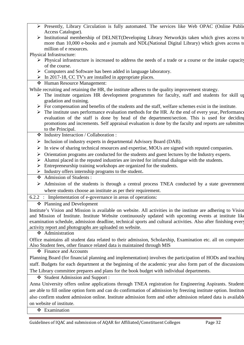- Presently, Library Circulation is fully automated. The services like Web OPAC (Online Public Access Catalogue).
- > Institutional membership of DELNET(Developing Library Network) is taken which gives access to more than 10,000 e-books and e journals and NDL(National Digital Library) which gives access to million of e resources.

Physical Infrastructure:

- $\triangleright$  Physical infrastructure is increased to address the needs of a trade or a course or the intake capacity of the course.
- S Computers and Software has been added in language laboratory.
- $\triangleright$  In 2017-18, CC TV's are installed in appropriate places.
- Human Resource Management:

While recruiting and retaining the HR, the institute adheres to the quality improvement strategy.

- $\triangleright$  The institute organizes HR development programmes for faculty, staff and students for skill up gradation and training.
- $\triangleright$  For compensation and benefits of the students and the staff, welfare schemes exist in the institute.
- $\triangleright$  The institute uses performance evaluation methods for the HR. At the end of every year, Performance evaluation of the staff is done by head of the department/section. This is used for deciding promotions and increments. Self appraisal evaluation is done by the faculty and reports are submitted to the Principal.
- Industry Interaction / Collaboration :
- Inclusion of industry experts in departmental Advisory Board (DAB).
- $\triangleright$  In view of sharing technical resources and expertise, MOUs are signed with reputed companies.
- $\triangleright$  Orientation programs are conducted for the students and guest lectures by the Industry experts.
- $\triangleright$  Alumni placed in the reputed industries are invited for informal dialogue with the students.
- Entrepreneurship training workshops are organized for the students.
- $\triangleright$  Industry offers internship programs to the student.
- Admission of Students :
- $\triangleright$  Admission of the students is through a central process TNEA conducted by a state government where students choose an institute as per their requirement.
- 6.2.2 : Implementation of e-governance in areas of operations:

Planning and Development

Institute's Vision and Mission is available on website. All activities in the institute are adhering to Vision and Mission of Institute. Institute Website continuously updated with upcoming events at institute like examination schedule, admission deadline, technical sports and cultural activities. Also after finishing every activity report and photographs are uploaded on website.

❖ Administration

Office maintains all student data related to their admission, Scholarship, Examination etc. all on computer. Also Student fees, other finance related data is maintained through MIS

Finance and Accounts

Planning Board (for financial planning and implementation) involves the participation of HODs and teaching staff. Budgets for each department at the beginning of the academic year also form part of the discussions. The Library committee prepares and plans for the book budget with individual departments.

Student Admission and Support :

Anna University offers online applications through TNEA registration for Engineering Aspirants. Students are able to fill online option form and can do confirmation of admission by freezing institute option. Institute also confirm student admission online. Institute admission form and other admission related data is available on website of institute.

**❖** Examination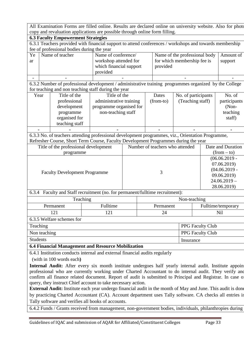All Examination Forms are filled online. Results are declared online on university website. Also for photo copy and revaluation applications are possible through online form filling.

| .                                                                                                 |                                  |                                       |                                                                                                         |             |           |                                 |              |                               |                    |  |
|---------------------------------------------------------------------------------------------------|----------------------------------|---------------------------------------|---------------------------------------------------------------------------------------------------------|-------------|-----------|---------------------------------|--------------|-------------------------------|--------------------|--|
| <b>6.3 Faculty Empowerment Strategies</b>                                                         |                                  |                                       |                                                                                                         |             |           |                                 |              |                               |                    |  |
|                                                                                                   |                                  |                                       | 6.3.1 Teachers provided with financial support to attend conferences / workshops and towards membership |             |           |                                 |              |                               |                    |  |
| fee of professional bodies during the year                                                        |                                  |                                       |                                                                                                         |             |           |                                 |              |                               |                    |  |
| Ye                                                                                                |                                  | Name of teacher                       | Name of conference/                                                                                     |             |           |                                 |              | Name of the professional body | Amount of          |  |
| ar                                                                                                |                                  |                                       | workshop attended for                                                                                   |             |           | for which membership fee is     |              |                               | support            |  |
|                                                                                                   |                                  |                                       | which financial support                                                                                 |             |           | provided                        |              |                               |                    |  |
|                                                                                                   |                                  |                                       | provided                                                                                                |             |           |                                 |              |                               |                    |  |
|                                                                                                   |                                  |                                       |                                                                                                         |             |           |                                 |              |                               |                    |  |
|                                                                                                   |                                  |                                       | 6.3.2 Number of professional development / administrative training programmes organized by the College  |             |           |                                 |              |                               |                    |  |
|                                                                                                   |                                  |                                       | for teaching and non teaching staff during the year                                                     |             |           |                                 |              |                               |                    |  |
| Year                                                                                              |                                  | Title of the                          | Title of the                                                                                            |             |           | Dates                           |              | No. of participants           | No. of             |  |
|                                                                                                   |                                  | professional                          | administrative training                                                                                 |             |           | (from-to)                       |              | (Teaching staff)              | participants       |  |
|                                                                                                   |                                  | development                           | programme organised for                                                                                 |             |           |                                 |              |                               | $(Non-$            |  |
|                                                                                                   |                                  | programme                             | non-teaching staff                                                                                      |             |           |                                 |              |                               | teaching           |  |
|                                                                                                   |                                  | organised for                         |                                                                                                         |             |           |                                 |              |                               | staff)             |  |
|                                                                                                   |                                  | teaching staff                        |                                                                                                         |             |           |                                 |              |                               |                    |  |
|                                                                                                   |                                  |                                       |                                                                                                         |             |           |                                 |              |                               |                    |  |
| 6.3.3 No. of teachers attending professional development programmes, viz., Orientation Programme, |                                  |                                       |                                                                                                         |             |           |                                 |              |                               |                    |  |
|                                                                                                   |                                  |                                       | Refresher Course, Short Term Course, Faculty Development Programmes during the year                     |             |           |                                 |              |                               |                    |  |
|                                                                                                   |                                  | Title of the professional development |                                                                                                         |             |           | Number of teachers who attended |              |                               | Date and Duration  |  |
|                                                                                                   |                                  | programme                             |                                                                                                         |             |           |                                 |              |                               | $(from - to)$      |  |
|                                                                                                   |                                  |                                       |                                                                                                         |             |           |                                 |              |                               | $(06.06.2019 -$    |  |
|                                                                                                   |                                  |                                       |                                                                                                         | 3           |           |                                 |              |                               | 07.06.2019)        |  |
|                                                                                                   |                                  | <b>Faculty Development Programme</b>  |                                                                                                         |             |           |                                 |              |                               | $(04.06.2019 -$    |  |
|                                                                                                   |                                  |                                       |                                                                                                         |             |           |                                 |              |                               | 09.06.2019)        |  |
|                                                                                                   |                                  |                                       |                                                                                                         |             |           |                                 |              |                               | $24.06.2019 -$     |  |
|                                                                                                   |                                  |                                       |                                                                                                         | 28.06.2019) |           |                                 |              |                               |                    |  |
| 6.3.4                                                                                             |                                  |                                       | Faculty and Staff recruitment (no. for permanent/fulltime recruitment):                                 |             |           |                                 |              |                               |                    |  |
|                                                                                                   |                                  | Teaching                              |                                                                                                         |             |           |                                 | Non-teaching |                               |                    |  |
|                                                                                                   |                                  | Permanent                             | Fulltime                                                                                                |             | Permanent |                                 |              |                               | Fulltime/temporary |  |
|                                                                                                   |                                  | 121                                   | 121                                                                                                     |             |           | 24                              |              |                               | Nil                |  |
|                                                                                                   |                                  | 6.3.5 Welfare schemes for             |                                                                                                         |             |           |                                 |              |                               |                    |  |
| Teaching                                                                                          |                                  |                                       |                                                                                                         |             |           |                                 |              | PPG Faculty Club              |                    |  |
|                                                                                                   | Non teaching<br>PPG Faculty Club |                                       |                                                                                                         |             |           |                                 |              |                               |                    |  |
|                                                                                                   |                                  |                                       |                                                                                                         |             |           |                                 |              |                               |                    |  |

#### Students Insurance **6.4 Financial Management and Resource Mobilization**

6.4.1 Institution conducts internal and external financial audits regularly

(with in 100 words each**)**

Internal Audit: After every six month institute undergoes half yearly internal audit. Institute appoin professional who are currently working under Charted Accountant to do internal audit. They verify and confirm all finance related document. Report of audit is submitted to Principal and Registrar. In case of query, they instruct Chief account to take necessary action.

**External Audit:** Institute each year undergo financial audit in the month of May and June. This audit is done by practicing Charted Accountant (CA). Account department uses Tally software. CA checks all entries in Tally software and verifies all books of accounts.

6.4.2 Funds / Grants received from management, non-government bodies, individuals, philanthropies during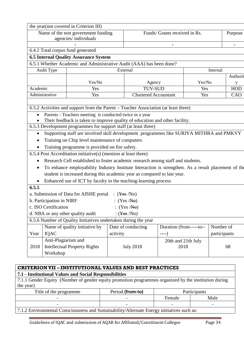|                                                                                                                                                            |                          | the year(not covered in Criterion III)                                                              |          |                                    |                         |        |              |          |  |
|------------------------------------------------------------------------------------------------------------------------------------------------------------|--------------------------|-----------------------------------------------------------------------------------------------------|----------|------------------------------------|-------------------------|--------|--------------|----------|--|
| Funds/ Grants received in Rs.<br>Name of the non government funding<br>Purpose                                                                             |                          |                                                                                                     |          |                                    |                         |        |              |          |  |
|                                                                                                                                                            |                          | agencies/individuals                                                                                |          |                                    |                         |        |              |          |  |
|                                                                                                                                                            |                          |                                                                                                     |          |                                    |                         |        |              |          |  |
|                                                                                                                                                            |                          | 6.4.2 Total corpus fund generated                                                                   |          |                                    |                         |        |              |          |  |
|                                                                                                                                                            |                          | <b>6.5 Internal Quality Assurance System</b>                                                        |          |                                    |                         |        |              |          |  |
|                                                                                                                                                            |                          | 6.5.1 Whether Academic and Administrative Audit (AAA) has been done?                                |          |                                    |                         |        |              |          |  |
|                                                                                                                                                            | Audit Type               |                                                                                                     |          | External                           |                         |        | Internal     |          |  |
|                                                                                                                                                            |                          |                                                                                                     |          |                                    |                         |        |              | Authorit |  |
|                                                                                                                                                            |                          | Yes/No                                                                                              |          | Agency                             |                         | Yes/No |              | у        |  |
| Academic                                                                                                                                                   |                          | Yes                                                                                                 |          | <b>TUV-SUD</b>                     |                         | Yes    |              | HOD      |  |
|                                                                                                                                                            | Administrative           | Yes                                                                                                 |          | <b>Chartered Accountant</b>        |                         | Yes    |              | CAO      |  |
|                                                                                                                                                            |                          |                                                                                                     |          |                                    |                         |        |              |          |  |
|                                                                                                                                                            |                          | 6.5.2 Activities and support from the Parent – Teacher Association (at least three)                 |          |                                    |                         |        |              |          |  |
|                                                                                                                                                            |                          | Parents - Teachers meeting is conducted twice in a year                                             |          |                                    |                         |        |              |          |  |
|                                                                                                                                                            |                          | Their feedback is taken to improve quality of education and other facility.                         |          |                                    |                         |        |              |          |  |
| 6.5.3 Development programmes for support staff (at least three)<br>Supporting staff are involved skill development programmes like SURIYA MITHRA and PMKVY |                          |                                                                                                     |          |                                    |                         |        |              |          |  |
| $\bullet$                                                                                                                                                  |                          |                                                                                                     |          |                                    |                         |        |              |          |  |
| ٠                                                                                                                                                          |                          | Training on Chip level maintenance of computers                                                     |          |                                    |                         |        |              |          |  |
|                                                                                                                                                            |                          | Training programme is provided on fire safety.                                                      |          |                                    |                         |        |              |          |  |
|                                                                                                                                                            |                          | 6.5.4 Post Accreditation initiative(s) (mention at least three)                                     |          |                                    |                         |        |              |          |  |
| ٠                                                                                                                                                          |                          | Research Cell established to foster academic research among staff and students.                     |          |                                    |                         |        |              |          |  |
| ٠                                                                                                                                                          |                          | To enhance employability Industry Institute Interaction is strengthen. As a result placement of the |          |                                    |                         |        |              |          |  |
|                                                                                                                                                            |                          | student is increased during this academic year as compared to last year.                            |          |                                    |                         |        |              |          |  |
|                                                                                                                                                            |                          | Enhanced use of ICT by faculty in the teaching-learning process                                     |          |                                    |                         |        |              |          |  |
| 6.5.5                                                                                                                                                      |                          |                                                                                                     |          |                                    |                         |        |              |          |  |
|                                                                                                                                                            |                          | a. Submission of Data for AISHE portal                                                              |          | : $(\text{Yes } / \text{No})$      |                         |        |              |          |  |
|                                                                                                                                                            | b. Participation in NIRF |                                                                                                     |          | : $(Yes /N\Theta)$                 |                         |        |              |          |  |
|                                                                                                                                                            | c. ISO Certification     |                                                                                                     |          | (Yes / No)                         |                         |        |              |          |  |
|                                                                                                                                                            |                          | d. NBA or any other quality audit                                                                   |          | : $(\frac{\text{Yes}}{\text{No}})$ |                         |        |              |          |  |
|                                                                                                                                                            |                          | 6.5.6 Number of Quality Initiatives undertaken during the year                                      |          |                                    |                         |        |              |          |  |
|                                                                                                                                                            |                          | Name of quality initiative by                                                                       |          | Date of conducting                 | Duration (from-----to-- |        | Number of    |          |  |
| Year                                                                                                                                                       | <b>IQAC</b>              |                                                                                                     | activity |                                    | $---)$                  |        | participants |          |  |
|                                                                                                                                                            | Anti-Plagiarism and      |                                                                                                     |          |                                    | 20th and 21th July      |        |              |          |  |
| 2018                                                                                                                                                       |                          | <b>Intellectual Property Rights</b>                                                                 |          | <b>July 2018</b>                   | 2018                    |        |              | 68       |  |
|                                                                                                                                                            | Workshop                 |                                                                                                     |          |                                    |                         |        |              |          |  |
|                                                                                                                                                            |                          |                                                                                                     |          |                                    |                         |        |              |          |  |

#### **CRITERIONVII – INSTITUTIONAL VALUES AND BEST PRACTICES**

#### **7.1 - Institutional Values and Social Responsibilities**

7.1.1 Gender Equity (Number of gender equity promotion programmes organized by the institution during the year)

| Title of the programme                                                                     | Period (from-to) | Participants |      |  |  |  |  |
|--------------------------------------------------------------------------------------------|------------------|--------------|------|--|--|--|--|
|                                                                                            |                  | Female       | Male |  |  |  |  |
|                                                                                            |                  |              |      |  |  |  |  |
| 7.1.2 Environmental Consciousness and Sustainability/Alternate Energy initiatives such as: |                  |              |      |  |  |  |  |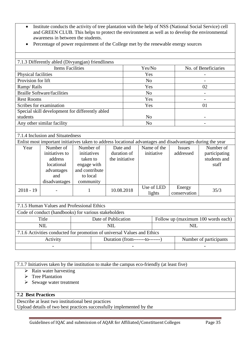- Institute conducts the activity of tree plantation with the help of NSS (National Social Service) cell and GREEN CLUB. This helps to protect the environment as well as to develop the environmental awareness in between the students.
- Percentage of power requirement of the College met by the renewable energy sources

|                     | 7.1.3 Differently abled (Divyangjan) friendliness<br><b>Items Facilities</b>                               |                                                                                                | Yes/No |                                           |                                  |                           | No. of Beneficiaries |  |                            |                                                     |
|---------------------|------------------------------------------------------------------------------------------------------------|------------------------------------------------------------------------------------------------|--------|-------------------------------------------|----------------------------------|---------------------------|----------------------|--|----------------------------|-----------------------------------------------------|
| Physical facilities |                                                                                                            |                                                                                                |        |                                           |                                  |                           |                      |  |                            |                                                     |
| Provision for lift  |                                                                                                            |                                                                                                |        |                                           | Yes<br>N <sub>0</sub>            |                           |                      |  |                            |                                                     |
| Ramp/Rails          |                                                                                                            |                                                                                                |        |                                           |                                  | Yes                       |                      |  |                            | $\overline{\phantom{0}}$<br>02                      |
|                     | <b>Braille Software/facilities</b>                                                                         |                                                                                                |        |                                           |                                  | N <sub>o</sub>            |                      |  |                            |                                                     |
| <b>Rest Rooms</b>   |                                                                                                            |                                                                                                |        |                                           |                                  | Yes                       |                      |  |                            |                                                     |
|                     | Scribes for examination                                                                                    |                                                                                                |        |                                           |                                  | Yes                       |                      |  |                            | 01                                                  |
|                     | Special skill development for differently abled                                                            |                                                                                                |        |                                           |                                  |                           |                      |  |                            |                                                     |
| students            |                                                                                                            |                                                                                                |        |                                           |                                  | N <sub>o</sub>            |                      |  |                            |                                                     |
|                     | Any other similar facility                                                                                 |                                                                                                |        |                                           |                                  | N <sub>o</sub>            |                      |  |                            |                                                     |
|                     |                                                                                                            |                                                                                                |        |                                           |                                  |                           |                      |  |                            |                                                     |
|                     | 7.1.4 Inclusion and Situatedness                                                                           |                                                                                                |        |                                           |                                  |                           |                      |  |                            |                                                     |
|                     | Enlist most important initiatives taken to address locational advantages and disadvantages during the year |                                                                                                |        |                                           |                                  |                           |                      |  |                            |                                                     |
| Year                | Number of<br>initiatives to<br>address<br>locational<br>advantages<br>and<br>disadvantages                 | Number of<br>initiatives<br>taken to<br>engage with<br>and contribute<br>to local<br>community |        | Date and<br>duration of<br>the initiative |                                  | Name of the<br>initiative |                      |  | <b>Issues</b><br>addressed | Number of<br>participating<br>students and<br>staff |
| $2018 - 19$         |                                                                                                            | $\mathbf{1}$                                                                                   |        | 10.08.2018                                |                                  | Use of LED<br>lights      |                      |  | Energy<br>conservation     | 35/3                                                |
|                     |                                                                                                            |                                                                                                |        |                                           |                                  |                           |                      |  |                            |                                                     |
|                     | 7.1.5 Human Values and Professional Ethics                                                                 |                                                                                                |        |                                           |                                  |                           |                      |  |                            |                                                     |
|                     | Code of conduct (handbooks) for various stakeholders                                                       |                                                                                                |        |                                           |                                  |                           |                      |  |                            |                                                     |
|                     | Title                                                                                                      |                                                                                                |        | Date of Publication                       |                                  |                           |                      |  |                            | Follow up (maximum 100 words each)                  |
|                     | <b>NIL</b>                                                                                                 |                                                                                                |        | <b>NIL</b>                                |                                  |                           |                      |  | <b>NIL</b>                 |                                                     |
|                     | 7.1.6 Activities conducted for promotion of universal Values and Ethics                                    |                                                                                                |        |                                           |                                  |                           |                      |  |                            |                                                     |
|                     | Activity                                                                                                   |                                                                                                |        |                                           | Duration (from--------to-------) |                           |                      |  | Number of participants     |                                                     |
|                     |                                                                                                            |                                                                                                |        |                                           |                                  |                           |                      |  |                            |                                                     |
|                     |                                                                                                            |                                                                                                |        |                                           |                                  |                           |                      |  |                            |                                                     |

7.1.7 Initiatives taken by the institution to make the campus eco-friendly (at least five)

 $\triangleright$  Rain water harvesting

 $\triangleright$  Tree Plantation

 $\triangleright$  Sewage water treatment

#### **7.2 Best Practices**

Describe at least two institutional best practices

Upload details of two best practices successfully implemented by the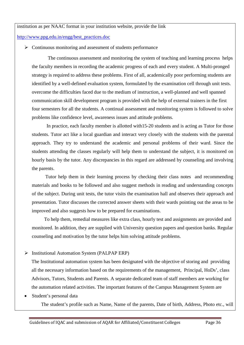#### institution as per NAAC format in your institution website, provide the link

[http://www.ppg.edu.in/engg/best\\_practices.doc](http://www.ppg.edu.in/engg/best_practices.doc)

 $\triangleright$  Continuous monitoring and assessment of students performance

The continuous assessment and monitoring the system of teaching and learning process helps the faculty members in recording the academic progress of each and every student. A Multi-pronged strategy is required to address these problems. First of all, academically poor performing students are identified by a well-defined evaluation system, formulated by the examination cell through unit tests. overcome the difficulties faced due to the medium of instruction, a well-planned and well spanned communication skill development program is provided with the help of external trainers in the first four semesters for all the students. A continual assessment and monitoring system is followed to solve problems like confidence level, awareness issues and attitude problems.

In practice, each faculty member is allotted with15-20 students and is acting as Tutor for those students. Tutor act like a local guardian and interact very closely with the students with the parental approach. They try to understand the academic and personal problems of their ward. Since the students attending the classes regularly will help them to understand the subject, it is monitored on hourly basis by the tutor. Any discrepancies in this regard are addressed by counseling and involving the parents.

Tutor help them in their learning process by checking their class notes and recommending materials and books to be followed and also suggest methods in reading and understanding concepts of the subject. During unit tests, the tutor visits the examination hall and observes their approach and presentation. Tutor discusses the corrected answer sheets with their wards pointing out the areas to be improved and also suggests how to be prepared for examinations.

To help them, remedial measures like extra class, hourly test and assignments are provided and monitored. In addition, they are supplied with University question papers and question banks. Regular counseling and motivation by the tutor helps him solving attitude problems.

#### $\triangleright$  Institutional Automation System (PALPAP ERP)

The Institutional automation system has been designated with the objective of storing and providing all the necessary information based on the requirements of the management, Principal, HoDs', class Advisors, Tutors, Students and Parents. A separate dedicated team of staff members are working for the automation related activities. The important features of the Campus Management System are

#### Student's personal data

The student's profile such as Name, Name of the parents, Date of birth, Address, Photo etc., will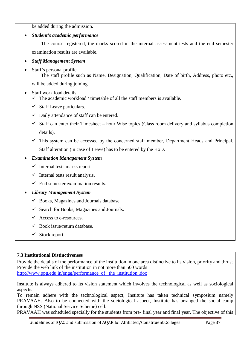be added during the admission.

*Student's academic performance*

The course registered, the marks scored in the internal assessment tests and the end semester examination results are available.

- *Staff Management System*
- Staff's personal profile

The staff profile such as Name, Designation, Qualification, Date of birth, Address, photo etc., will be added during joining.

- Staff work load details
	- $\checkmark$  The academic workload / timetable of all the staff members is available.
	- $\checkmark$  Staff Leave particulars.
	- $\checkmark$  Daily attendance of staff can be entered.
	- $\checkmark$  Staff can enter their Timesheet hour Wise topics (Class room delivery and syllabus completion details).
	- $\checkmark$  This system can be accessed by the concerned staff member, Department Heads and Principal. Staff alteration (in case of Leave) has to be entered by the HoD.

#### *Examination Management System*

- $\checkmark$  Internal tests marks report.
- $\checkmark$  Internal tests result analysis.
- $\checkmark$  End semester examination results.

#### *Library Management System*

- $\checkmark$  Books, Magazines and Journals database.
- $\checkmark$  Search for Books, Magazines and Journals.
- $\checkmark$  Access to e-resources.
- $\checkmark$  Book issue/return database.
- $\checkmark$  Stock report.

#### **7.3 Institutional Distinctiveness**

Provide the details of the performance of the institution in one area distinctive to its vision, priority and thrust Provide the web link of the institution in not more than 500 words [http://www.ppg.edu.in/engg/performance\\_of\\_ the\\_institution .doc](http://www.ppg.edu.in/engg/performance_of_ the_institution .doc)

Institute is always adhered to its vision statement which involves the technological as well as sociological aspects.

To remain adhere with the technological aspect, Institute has taken technical symposium namely PRAVAAH. Also to be connected with the sociological aspect, Institute has arranged the social camp through NSS (National Service Scheme) cell.

PRAVAAH was scheduled specially for the students from pre- final year and final year. The objective of this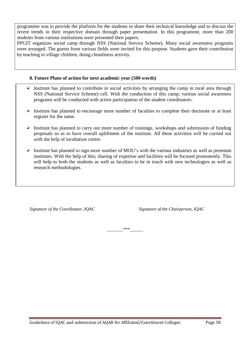programme was to provide the platform for the students to share their technical knowledge and to discuss the recent trends in their respective domain through paper presentation. In this programme, more than 200 students from various institutions were presented their papers.

PPGIT organizes social camp through NSS (National Service Scheme). Many social awareness programs were arranged. The guests from various fields were invited for this purpose. Students gave their contribution by teaching to village children, doing cleanliness activity.

#### **8. Future Plans of action for next academic year (500 words)**

- $\triangleright$  Institute has planned to contribute in social activities by arranging the camp in rural area through NSS (National Service Scheme) cell. With the conduction of this camp; various social awareness programs will be conducted with active participation of the student coordinators.
- $\triangleright$  Institute has planned to encourage more number of faculties to complete their doctorate or at least register for the same.
- with the help of incubation centre.  $\triangleright$  Institute has planned to carry out more number of trainings, workshops and submission of funding proposals so as to have overall upliftment of the institute. All these activities will be carried out
- $\triangleright$  Institute has planned to sign more number of MOU's with the various industries as well as premium institutes. With the help of this; sharing of expertise and facilities will be focused prominently. This will help to both the students as well as faculties to be in touch with new technologies as well as research methodologies.

*Signature of the Coordinator, IQAC Signature of the Chairperson, IQAC*

*\_\_\_\_\_\_\_\*\*\*\_\_\_\_\_\_*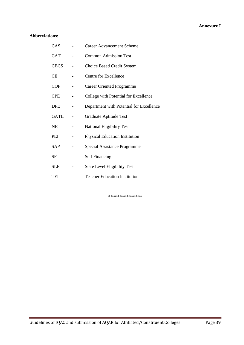#### **Annexure I**

#### **Abbreviations:**

| CAS         | <b>Career Advancement Scheme</b>         |
|-------------|------------------------------------------|
| <b>CAT</b>  | <b>Common Admission Test</b>             |
| <b>CBCS</b> | Choice Based Credit System               |
| <b>CE</b>   | <b>Centre for Excellence</b>             |
| <b>COP</b>  | <b>Career Oriented Programme</b>         |
| <b>CPE</b>  | College with Potential for Excellence    |
| <b>DPE</b>  | Department with Potential for Excellence |
| <b>GATE</b> | Graduate Aptitude Test                   |
| <b>NET</b>  | <b>National Eligibility Test</b>         |
| PEI         | <b>Physical Education Institution</b>    |
| <b>SAP</b>  | Special Assistance Programme             |
| SF          | <b>Self Financing</b>                    |
| <b>SLET</b> | <b>State Level Eligibility Test</b>      |
| TEI         | <b>Teacher Education Institution</b>     |

\*\*\*\*\*\*\*\*\*\*\*\*\*\*\*